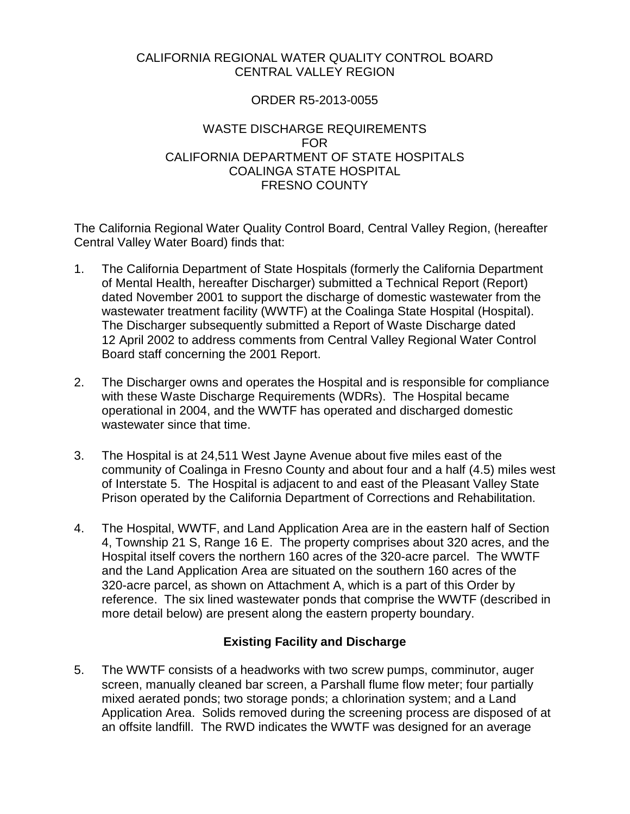### CALIFORNIA REGIONAL WATER QUALITY CONTROL BOARD CENTRAL VALLEY REGION

### ORDER R5-2013-0055

### WASTE DISCHARGE REQUIREMENTS FOR CALIFORNIA DEPARTMENT OF STATE HOSPITALS COALINGA STATE HOSPITAL FRESNO COUNTY

The California Regional Water Quality Control Board, Central Valley Region, (hereafter Central Valley Water Board) finds that:

- 1. The California Department of State Hospitals (formerly the California Department of Mental Health, hereafter Discharger) submitted a Technical Report (Report) dated November 2001 to support the discharge of domestic wastewater from the wastewater treatment facility (WWTF) at the Coalinga State Hospital (Hospital). The Discharger subsequently submitted a Report of Waste Discharge dated 12 April 2002 to address comments from Central Valley Regional Water Control Board staff concerning the 2001 Report.
- 2. The Discharger owns and operates the Hospital and is responsible for compliance with these Waste Discharge Requirements (WDRs). The Hospital became operational in 2004, and the WWTF has operated and discharged domestic wastewater since that time.
- 3. The Hospital is at 24,511 West Jayne Avenue about five miles east of the community of Coalinga in Fresno County and about four and a half (4.5) miles west of Interstate 5. The Hospital is adjacent to and east of the Pleasant Valley State Prison operated by the California Department of Corrections and Rehabilitation.
- 4. The Hospital, WWTF, and Land Application Area are in the eastern half of Section 4, Township 21 S, Range 16 E. The property comprises about 320 acres, and the Hospital itself covers the northern 160 acres of the 320-acre parcel. The WWTF and the Land Application Area are situated on the southern 160 acres of the 320-acre parcel, as shown on Attachment A, which is a part of this Order by reference. The six lined wastewater ponds that comprise the WWTF (described in more detail below) are present along the eastern property boundary.

## **Existing Facility and Discharge**

5. The WWTF consists of a headworks with two screw pumps, comminutor, auger screen, manually cleaned bar screen, a Parshall flume flow meter; four partially mixed aerated ponds; two storage ponds; a chlorination system; and a Land Application Area. Solids removed during the screening process are disposed of at an offsite landfill. The RWD indicates the WWTF was designed for an average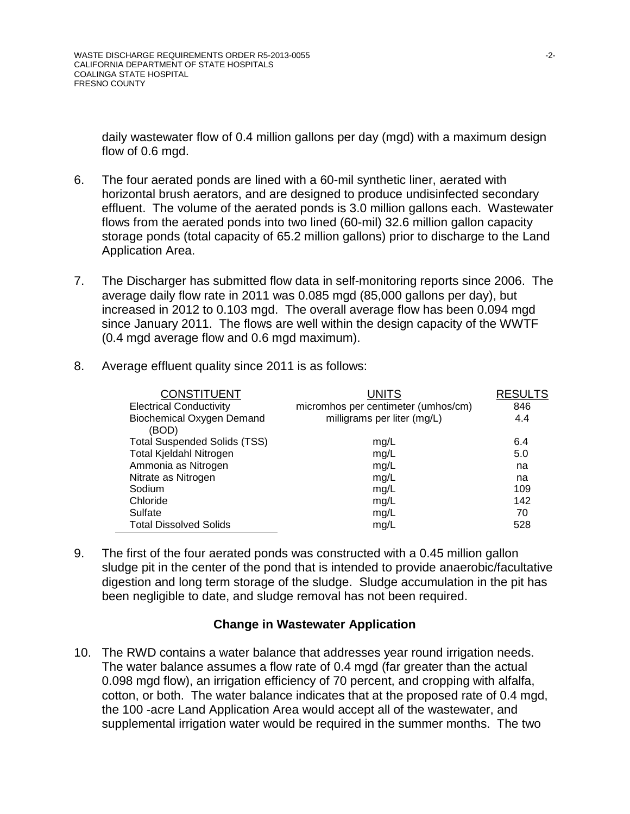daily wastewater flow of 0.4 million gallons per day (mgd) with a maximum design flow of 0.6 mgd.

- 6. The four aerated ponds are lined with a 60-mil synthetic liner, aerated with horizontal brush aerators, and are designed to produce undisinfected secondary effluent. The volume of the aerated ponds is 3.0 million gallons each. Wastewater flows from the aerated ponds into two lined (60-mil) 32.6 million gallon capacity storage ponds (total capacity of 65.2 million gallons) prior to discharge to the Land Application Area.
- 7. The Discharger has submitted flow data in self-monitoring reports since 2006. The average daily flow rate in 2011 was 0.085 mgd (85,000 gallons per day), but increased in 2012 to 0.103 mgd. The overall average flow has been 0.094 mgd since January 2011. The flows are well within the design capacity of the WWTF (0.4 mgd average flow and 0.6 mgd maximum).

| <b>CONSTITUENT</b><br><b>Electrical Conductivity</b> | <b>UNITS</b><br>micromhos per centimeter (umhos/cm) | <b>RESULTS</b><br>846 |
|------------------------------------------------------|-----------------------------------------------------|-----------------------|
| <b>Biochemical Oxygen Demand</b><br>(BOD)            | milligrams per liter (mg/L)                         | 4.4                   |
| <b>Total Suspended Solids (TSS)</b>                  | mg/L                                                | 6.4                   |
| Total Kjeldahl Nitrogen                              | mg/L                                                | 5.0                   |
| Ammonia as Nitrogen                                  | mg/L                                                | na                    |
| Nitrate as Nitrogen                                  | mg/L                                                | na                    |
| Sodium                                               | mg/L                                                | 109                   |
| Chloride                                             | mg/L                                                | 142                   |
| Sulfate                                              | mg/L                                                | 70                    |
| <b>Total Dissolved Solids</b>                        | mg/L                                                | 528                   |

8. Average effluent quality since 2011 is as follows:

9. The first of the four aerated ponds was constructed with a 0.45 million gallon sludge pit in the center of the pond that is intended to provide anaerobic/facultative digestion and long term storage of the sludge. Sludge accumulation in the pit has been negligible to date, and sludge removal has not been required.

### **Change in Wastewater Application**

10. The RWD contains a water balance that addresses year round irrigation needs. The water balance assumes a flow rate of 0.4 mgd (far greater than the actual 0.098 mgd flow), an irrigation efficiency of 70 percent, and cropping with alfalfa, cotton, or both. The water balance indicates that at the proposed rate of 0.4 mgd, the 100 -acre Land Application Area would accept all of the wastewater, and supplemental irrigation water would be required in the summer months. The two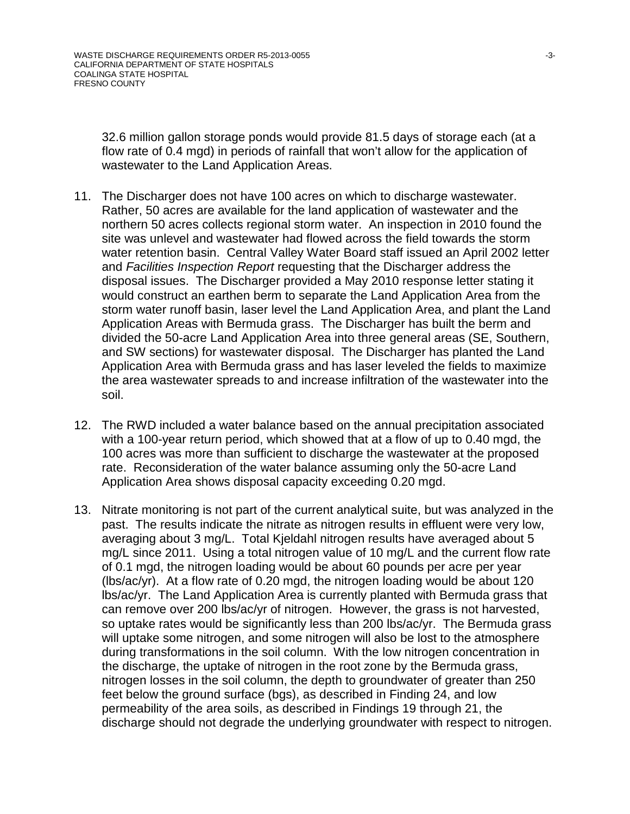32.6 million gallon storage ponds would provide 81.5 days of storage each (at a flow rate of 0.4 mgd) in periods of rainfall that won't allow for the application of wastewater to the Land Application Areas.

- 11. The Discharger does not have 100 acres on which to discharge wastewater. Rather, 50 acres are available for the land application of wastewater and the northern 50 acres collects regional storm water. An inspection in 2010 found the site was unlevel and wastewater had flowed across the field towards the storm water retention basin. Central Valley Water Board staff issued an April 2002 letter and *Facilities Inspection Report* requesting that the Discharger address the disposal issues. The Discharger provided a May 2010 response letter stating it would construct an earthen berm to separate the Land Application Area from the storm water runoff basin, laser level the Land Application Area, and plant the Land Application Areas with Bermuda grass. The Discharger has built the berm and divided the 50-acre Land Application Area into three general areas (SE, Southern, and SW sections) for wastewater disposal. The Discharger has planted the Land Application Area with Bermuda grass and has laser leveled the fields to maximize the area wastewater spreads to and increase infiltration of the wastewater into the soil.
- 12. The RWD included a water balance based on the annual precipitation associated with a 100-year return period, which showed that at a flow of up to 0.40 mgd, the 100 acres was more than sufficient to discharge the wastewater at the proposed rate. Reconsideration of the water balance assuming only the 50-acre Land Application Area shows disposal capacity exceeding 0.20 mgd.
- 13. Nitrate monitoring is not part of the current analytical suite, but was analyzed in the past. The results indicate the nitrate as nitrogen results in effluent were very low, averaging about 3 mg/L. Total Kjeldahl nitrogen results have averaged about 5 mg/L since 2011. Using a total nitrogen value of 10 mg/L and the current flow rate of 0.1 mgd, the nitrogen loading would be about 60 pounds per acre per year (lbs/ac/yr). At a flow rate of 0.20 mgd, the nitrogen loading would be about 120 lbs/ac/yr. The Land Application Area is currently planted with Bermuda grass that can remove over 200 lbs/ac/yr of nitrogen. However, the grass is not harvested, so uptake rates would be significantly less than 200 lbs/ac/yr. The Bermuda grass will uptake some nitrogen, and some nitrogen will also be lost to the atmosphere during transformations in the soil column. With the low nitrogen concentration in the discharge, the uptake of nitrogen in the root zone by the Bermuda grass, nitrogen losses in the soil column, the depth to groundwater of greater than 250 feet below the ground surface (bgs), as described in Finding 24, and low permeability of the area soils, as described in Findings 19 through 21, the discharge should not degrade the underlying groundwater with respect to nitrogen.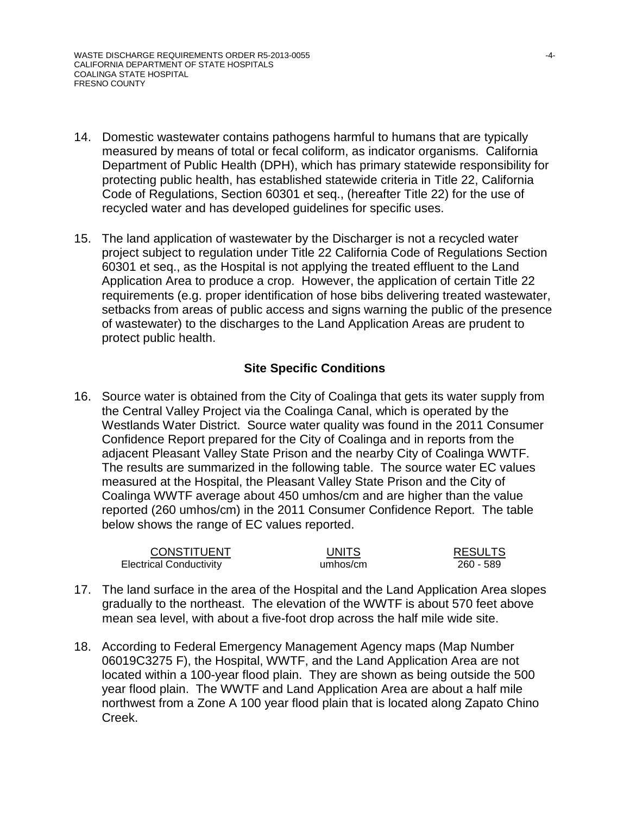- 14. Domestic wastewater contains pathogens harmful to humans that are typically measured by means of total or fecal coliform, as indicator organisms. California Department of Public Health (DPH), which has primary statewide responsibility for protecting public health, has established statewide criteria in Title 22, California Code of Regulations, Section 60301 et seq., (hereafter Title 22) for the use of recycled water and has developed guidelines for specific uses.
- 15. The land application of wastewater by the Discharger is not a recycled water project subject to regulation under Title 22 California Code of Regulations Section 60301 et seq., as the Hospital is not applying the treated effluent to the Land Application Area to produce a crop. However, the application of certain Title 22 requirements (e.g. proper identification of hose bibs delivering treated wastewater, setbacks from areas of public access and signs warning the public of the presence of wastewater) to the discharges to the Land Application Areas are prudent to protect public health.

## **Site Specific Conditions**

16. Source water is obtained from the City of Coalinga that gets its water supply from the Central Valley Project via the Coalinga Canal, which is operated by the Westlands Water District. Source water quality was found in the 2011 Consumer Confidence Report prepared for the City of Coalinga and in reports from the adjacent Pleasant Valley State Prison and the nearby City of Coalinga WWTF. The results are summarized in the following table. The source water EC values measured at the Hospital, the Pleasant Valley State Prison and the City of Coalinga WWTF average about 450 umhos/cm and are higher than the value reported (260 umhos/cm) in the 2011 Consumer Confidence Report. The table below shows the range of EC values reported.

| CONSTITUENT                    | <b>UNITS</b> | <b>RESULTS</b> |
|--------------------------------|--------------|----------------|
| <b>Electrical Conductivity</b> | umhos/cm     | 260 - 589      |

- 17. The land surface in the area of the Hospital and the Land Application Area slopes gradually to the northeast. The elevation of the WWTF is about 570 feet above mean sea level, with about a five-foot drop across the half mile wide site.
- 18. According to Federal Emergency Management Agency maps (Map Number 06019C3275 F), the Hospital, WWTF, and the Land Application Area are not located within a 100-year flood plain. They are shown as being outside the 500 year flood plain. The WWTF and Land Application Area are about a half mile northwest from a Zone A 100 year flood plain that is located along Zapato Chino Creek.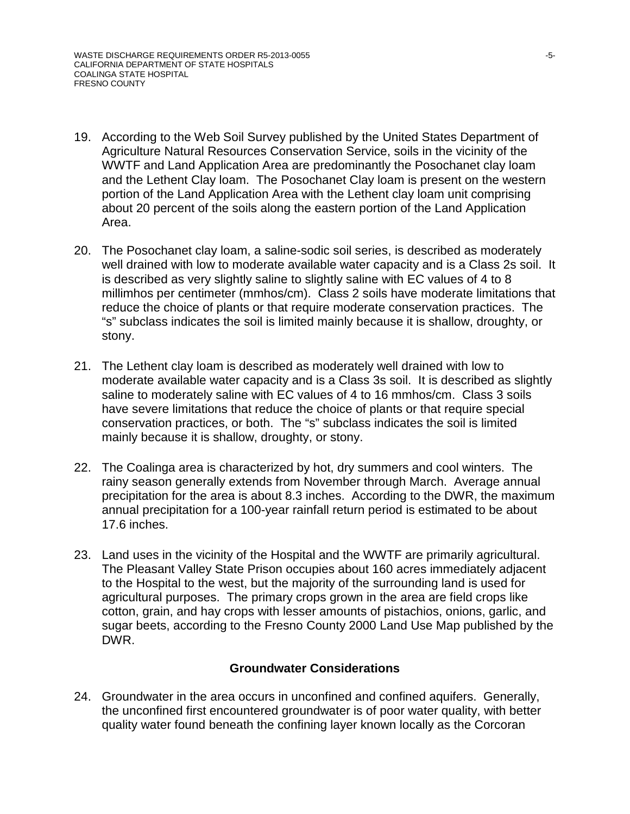- 19. According to the Web Soil Survey published by the United States Department of Agriculture Natural Resources Conservation Service, soils in the vicinity of the WWTF and Land Application Area are predominantly the Posochanet clay loam and the Lethent Clay loam. The Posochanet Clay loam is present on the western portion of the Land Application Area with the Lethent clay loam unit comprising about 20 percent of the soils along the eastern portion of the Land Application Area.
- 20. The Posochanet clay loam, a saline-sodic soil series, is described as moderately well drained with low to moderate available water capacity and is a Class 2s soil. It is described as very slightly saline to slightly saline with EC values of 4 to 8 millimhos per centimeter (mmhos/cm). Class 2 soils have moderate limitations that reduce the choice of plants or that require moderate conservation practices. The "s" subclass indicates the soil is limited mainly because it is shallow, droughty, or stony.
- 21. The Lethent clay loam is described as moderately well drained with low to moderate available water capacity and is a Class 3s soil. It is described as slightly saline to moderately saline with EC values of 4 to 16 mmhos/cm. Class 3 soils have severe limitations that reduce the choice of plants or that require special conservation practices, or both. The "s" subclass indicates the soil is limited mainly because it is shallow, droughty, or stony.
- 22. The Coalinga area is characterized by hot, dry summers and cool winters. The rainy season generally extends from November through March. Average annual precipitation for the area is about 8.3 inches. According to the DWR, the maximum annual precipitation for a 100-year rainfall return period is estimated to be about 17.6 inches.
- 23. Land uses in the vicinity of the Hospital and the WWTF are primarily agricultural. The Pleasant Valley State Prison occupies about 160 acres immediately adjacent to the Hospital to the west, but the majority of the surrounding land is used for agricultural purposes. The primary crops grown in the area are field crops like cotton, grain, and hay crops with lesser amounts of pistachios, onions, garlic, and sugar beets, according to the Fresno County 2000 Land Use Map published by the DWR.

### **Groundwater Considerations**

24. Groundwater in the area occurs in unconfined and confined aquifers. Generally, the unconfined first encountered groundwater is of poor water quality, with better quality water found beneath the confining layer known locally as the Corcoran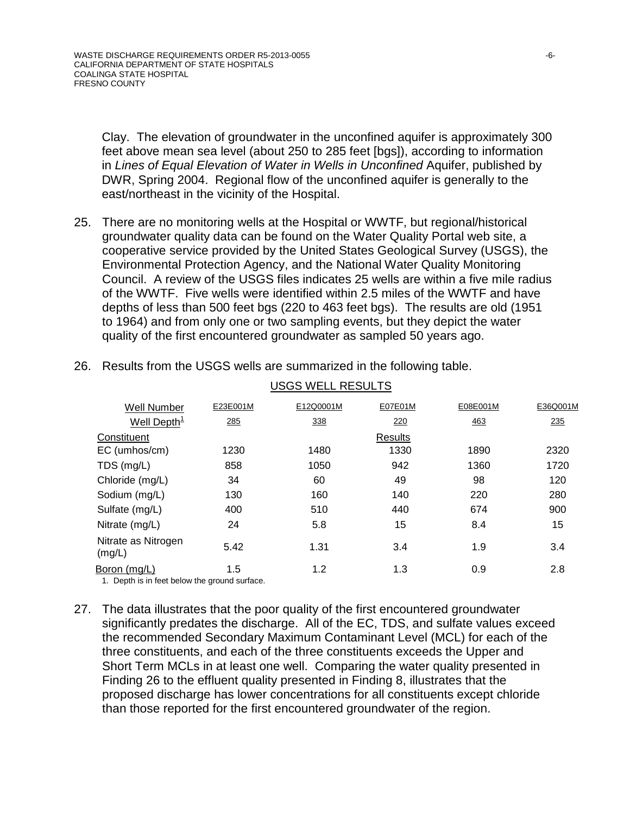Clay. The elevation of groundwater in the unconfined aquifer is approximately 300 feet above mean sea level (about 250 to 285 feet [bgs]), according to information in *Lines of Equal Elevation of Water in Wells in Unconfined* Aquifer, published by DWR, Spring 2004. Regional flow of the unconfined aquifer is generally to the east/northeast in the vicinity of the Hospital.

- 25. There are no monitoring wells at the Hospital or WWTF, but regional/historical groundwater quality data can be found on the Water Quality Portal web site, a cooperative service provided by the United States Geological Survey (USGS), the Environmental Protection Agency, and the National Water Quality Monitoring Council. A review of the USGS files indicates 25 wells are within a five mile radius of the WWTF. Five wells were identified within 2.5 miles of the WWTF and have depths of less than 500 feet bgs (220 to 463 feet bgs). The results are old (1951 to 1964) and from only one or two sampling events, but they depict the water quality of the first encountered groundwater as sampled 50 years ago.
- 26. Results from the USGS wells are summarized in the following table.

| <b>Well Number</b>                            | E23E001M | E12Q0001M | E07E01M | E08E001M | E36Q001M |
|-----------------------------------------------|----------|-----------|---------|----------|----------|
| Well Depth <sup>1</sup>                       | 285      | 338       | 220     | 463      | 235      |
| Constituent                                   |          |           | Results |          |          |
| EC (umhos/cm)                                 | 1230     | 1480      | 1330    | 1890     | 2320     |
| TDS (mg/L)                                    | 858      | 1050      | 942     | 1360     | 1720     |
| Chloride (mg/L)                               | 34       | 60        | 49      | 98       | 120      |
| Sodium (mg/L)                                 | 130      | 160       | 140     | 220      | 280      |
| Sulfate (mg/L)                                | 400      | 510       | 440     | 674      | 900      |
| Nitrate (mg/L)                                | 24       | 5.8       | 15      | 8.4      | 15       |
| Nitrate as Nitrogen<br>(mg/L)                 | 5.42     | 1.31      | 3.4     | 1.9      | 3.4      |
| Boron (mg/L)                                  | 1.5      | 1.2       | 1.3     | 0.9      | 2.8      |
| 1. Depth is in feet below the ground surface. |          |           |         |          |          |

#### USGS WELL RESULTS

27. The data illustrates that the poor quality of the first encountered groundwater significantly predates the discharge. All of the EC, TDS, and sulfate values exceed the recommended Secondary Maximum Contaminant Level (MCL) for each of the three constituents, and each of the three constituents exceeds the Upper and Short Term MCLs in at least one well. Comparing the water quality presented in Finding 26 to the effluent quality presented in Finding 8, illustrates that the proposed discharge has lower concentrations for all constituents except chloride than those reported for the first encountered groundwater of the region.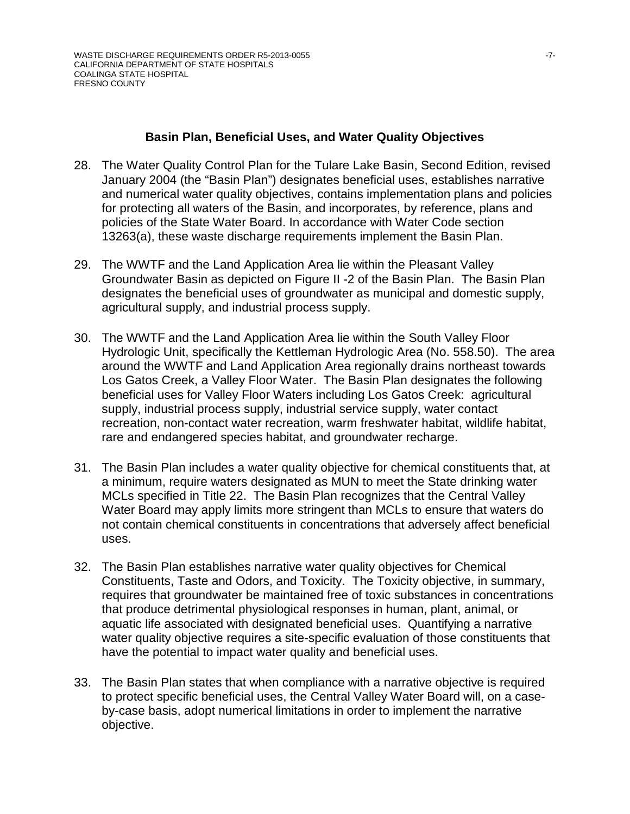### **Basin Plan, Beneficial Uses, and Water Quality Objectives**

- 28. The Water Quality Control Plan for the Tulare Lake Basin, Second Edition, revised January 2004 (the "Basin Plan") designates beneficial uses, establishes narrative and numerical water quality objectives, contains implementation plans and policies for protecting all waters of the Basin, and incorporates, by reference, plans and policies of the State Water Board. In accordance with Water Code section 13263(a), these waste discharge requirements implement the Basin Plan.
- 29. The WWTF and the Land Application Area lie within the Pleasant Valley Groundwater Basin as depicted on Figure II -2 of the Basin Plan. The Basin Plan designates the beneficial uses of groundwater as municipal and domestic supply, agricultural supply, and industrial process supply.
- 30. The WWTF and the Land Application Area lie within the South Valley Floor Hydrologic Unit, specifically the Kettleman Hydrologic Area (No. 558.50). The area around the WWTF and Land Application Area regionally drains northeast towards Los Gatos Creek, a Valley Floor Water. The Basin Plan designates the following beneficial uses for Valley Floor Waters including Los Gatos Creek: agricultural supply, industrial process supply, industrial service supply, water contact recreation, non-contact water recreation, warm freshwater habitat, wildlife habitat, rare and endangered species habitat, and groundwater recharge.
- 31. The Basin Plan includes a water quality objective for chemical constituents that, at a minimum, require waters designated as MUN to meet the State drinking water MCLs specified in Title 22. The Basin Plan recognizes that the Central Valley Water Board may apply limits more stringent than MCLs to ensure that waters do not contain chemical constituents in concentrations that adversely affect beneficial uses.
- 32. The Basin Plan establishes narrative water quality objectives for Chemical Constituents, Taste and Odors, and Toxicity. The Toxicity objective, in summary, requires that groundwater be maintained free of toxic substances in concentrations that produce detrimental physiological responses in human, plant, animal, or aquatic life associated with designated beneficial uses. Quantifying a narrative water quality objective requires a site-specific evaluation of those constituents that have the potential to impact water quality and beneficial uses.
- 33. The Basin Plan states that when compliance with a narrative objective is required to protect specific beneficial uses, the Central Valley Water Board will, on a caseby-case basis, adopt numerical limitations in order to implement the narrative objective.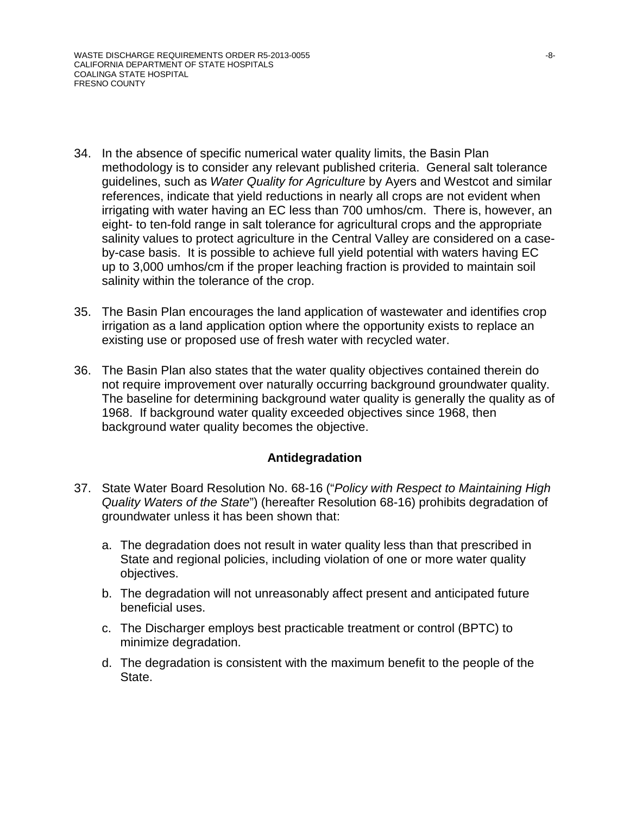- 34. In the absence of specific numerical water quality limits, the Basin Plan methodology is to consider any relevant published criteria. General salt tolerance guidelines, such as *Water Quality for Agriculture* by Ayers and Westcot and similar references, indicate that yield reductions in nearly all crops are not evident when irrigating with water having an EC less than 700 umhos/cm. There is, however, an eight- to ten-fold range in salt tolerance for agricultural crops and the appropriate salinity values to protect agriculture in the Central Valley are considered on a caseby-case basis. It is possible to achieve full yield potential with waters having EC up to 3,000 umhos/cm if the proper leaching fraction is provided to maintain soil salinity within the tolerance of the crop.
- 35. The Basin Plan encourages the land application of wastewater and identifies crop irrigation as a land application option where the opportunity exists to replace an existing use or proposed use of fresh water with recycled water.
- 36. The Basin Plan also states that the water quality objectives contained therein do not require improvement over naturally occurring background groundwater quality. The baseline for determining background water quality is generally the quality as of 1968. If background water quality exceeded objectives since 1968, then background water quality becomes the objective.

### **Antidegradation**

- 37. State Water Board Resolution No. 68-16 ("*Policy with Respect to Maintaining High Quality Waters of the State*") (hereafter Resolution 68-16) prohibits degradation of groundwater unless it has been shown that:
	- a. The degradation does not result in water quality less than that prescribed in State and regional policies, including violation of one or more water quality objectives.
	- b. The degradation will not unreasonably affect present and anticipated future beneficial uses.
	- c. The Discharger employs best practicable treatment or control (BPTC) to minimize degradation.
	- d. The degradation is consistent with the maximum benefit to the people of the State.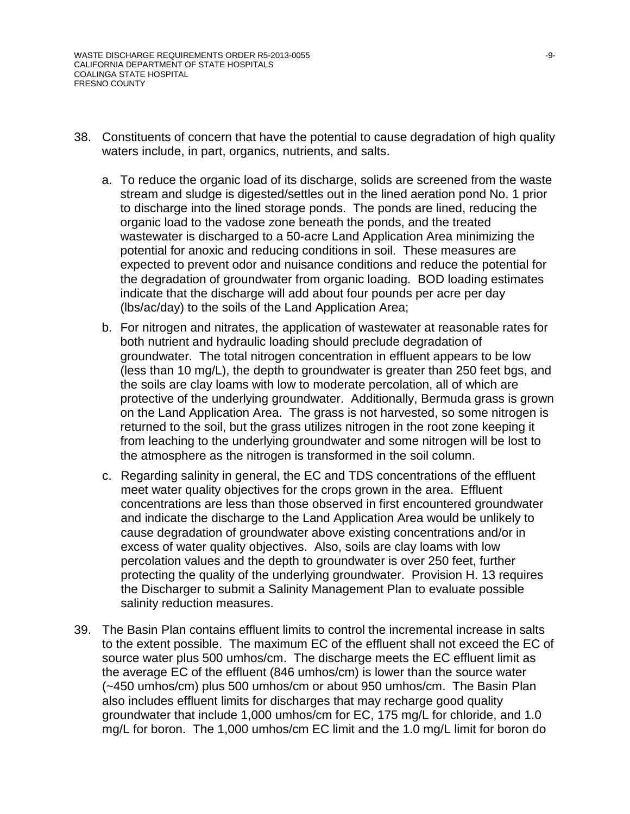- 38. Constituents of concern that have the potential to cause degradation of high quality waters include, in part, organics, nutrients, and salts.
	- a. To reduce the organic load of its discharge, solids are screened from the waste stream and sludge is digested/settles out in the lined aeration pond No. 1 prior to discharge into the lined storage ponds. The ponds are lined, reducing the organic load to the vadose zone beneath the ponds, and the treated wastewater is discharged to a 50-acre Land Application Area minimizing the potential for anoxic and reducing conditions in soil. These measures are expected to prevent odor and nuisance conditions and reduce the potential for the degradation of groundwater from organic loading. BOD loading estimates indicate that the discharge will add about four pounds per acre per day (lbs/ac/day) to the soils of the Land Application Area;
	- b. For nitrogen and nitrates, the application of wastewater at reasonable rates for both nutrient and hydraulic loading should preclude degradation of groundwater. The total nitrogen concentration in effluent appears to be low (less than 10 mg/L), the depth to groundwater is greater than 250 feet bgs, and the soils are clay loams with low to moderate percolation, all of which are protective of the underlying groundwater. Additionally, Bermuda grass is grown on the Land Application Area. The grass is not harvested, so some nitrogen is returned to the soil, but the grass utilizes nitrogen in the root zone keeping it from leaching to the underlying groundwater and some nitrogen will be lost to the atmosphere as the nitrogen is transformed in the soil column.
	- c. Regarding salinity in general, the EC and TDS concentrations of the effluent meet water quality objectives for the crops grown in the area. Effluent concentrations are less than those observed in first encountered groundwater and indicate the discharge to the Land Application Area would be unlikely to cause degradation of groundwater above existing concentrations and/or in excess of water quality objectives. Also, soils are clay loams with low percolation values and the depth to groundwater is over 250 feet, further protecting the quality of the underlying groundwater. Provision H. 13 requires the Discharger to submit a Salinity Management Plan to evaluate possible salinity reduction measures.
- 39. The Basin Plan contains effluent limits to control the incremental increase in salts to the extent possible. The maximum EC of the effluent shall not exceed the EC of source water plus 500 umhos/cm. The discharge meets the EC effluent limit as the average EC of the effluent (846 umhos/cm) is lower than the source water (~450 umhos/cm) plus 500 umhos/cm or about 950 umhos/cm. The Basin Plan also includes effluent limits for discharges that may recharge good quality groundwater that include 1,000 umhos/cm for EC, 175 mg/L for chloride, and 1.0 mg/L for boron. The 1,000 umhos/cm EC limit and the 1.0 mg/L limit for boron do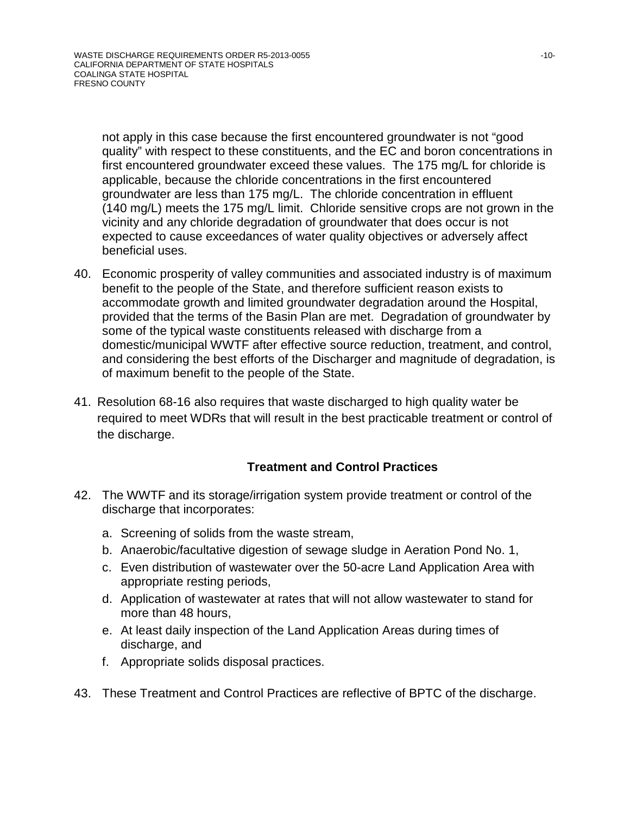not apply in this case because the first encountered groundwater is not "good quality" with respect to these constituents, and the EC and boron concentrations in first encountered groundwater exceed these values. The 175 mg/L for chloride is applicable, because the chloride concentrations in the first encountered groundwater are less than 175 mg/L. The chloride concentration in effluent (140 mg/L) meets the 175 mg/L limit. Chloride sensitive crops are not grown in the vicinity and any chloride degradation of groundwater that does occur is not expected to cause exceedances of water quality objectives or adversely affect beneficial uses.

- 40. Economic prosperity of valley communities and associated industry is of maximum benefit to the people of the State, and therefore sufficient reason exists to accommodate growth and limited groundwater degradation around the Hospital, provided that the terms of the Basin Plan are met. Degradation of groundwater by some of the typical waste constituents released with discharge from a domestic/municipal WWTF after effective source reduction, treatment, and control, and considering the best efforts of the Discharger and magnitude of degradation, is of maximum benefit to the people of the State.
- 41. Resolution 68-16 also requires that waste discharged to high quality water be required to meet WDRs that will result in the best practicable treatment or control of the discharge.

## **Treatment and Control Practices**

- 42. The WWTF and its storage/irrigation system provide treatment or control of the discharge that incorporates:
	- a. Screening of solids from the waste stream,
	- b. Anaerobic/facultative digestion of sewage sludge in Aeration Pond No. 1,
	- c. Even distribution of wastewater over the 50-acre Land Application Area with appropriate resting periods,
	- d. Application of wastewater at rates that will not allow wastewater to stand for more than 48 hours,
	- e. At least daily inspection of the Land Application Areas during times of discharge, and
	- f. Appropriate solids disposal practices.
- 43. These Treatment and Control Practices are reflective of BPTC of the discharge.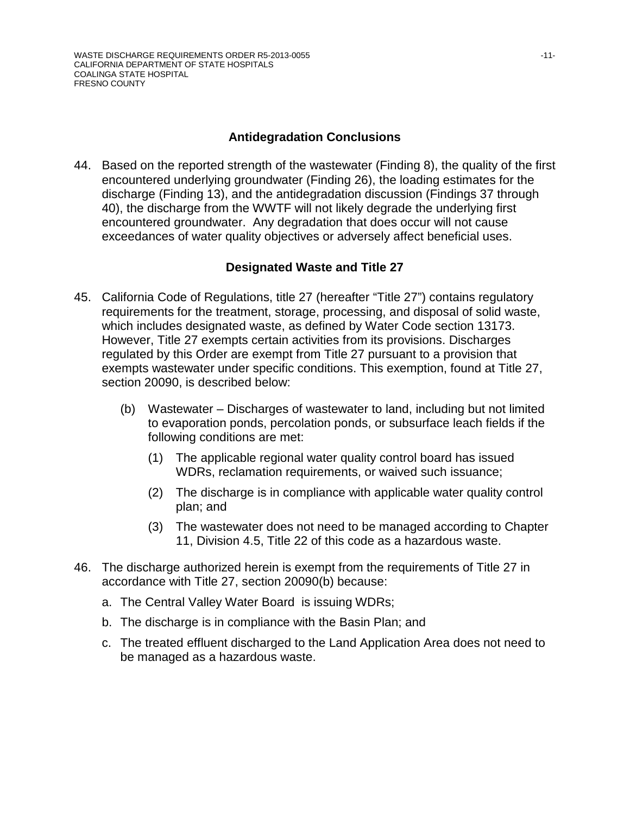## **Antidegradation Conclusions**

44. Based on the reported strength of the wastewater (Finding 8), the quality of the first encountered underlying groundwater (Finding 26), the loading estimates for the discharge (Finding 13), and the antidegradation discussion (Findings 37 through 40), the discharge from the WWTF will not likely degrade the underlying first encountered groundwater. Any degradation that does occur will not cause exceedances of water quality objectives or adversely affect beneficial uses.

## **Designated Waste and Title 27**

- 45. California Code of Regulations, title 27 (hereafter "Title 27") contains regulatory requirements for the treatment, storage, processing, and disposal of solid waste, which includes designated waste, as defined by Water Code section 13173. However, Title 27 exempts certain activities from its provisions. Discharges regulated by this Order are exempt from Title 27 pursuant to a provision that exempts wastewater under specific conditions. This exemption, found at Title 27, section 20090, is described below:
	- (b) Wastewater Discharges of wastewater to land, including but not limited to evaporation ponds, percolation ponds, or subsurface leach fields if the following conditions are met:
		- (1) The applicable regional water quality control board has issued WDRs, reclamation requirements, or waived such issuance;
		- (2) The discharge is in compliance with applicable water quality control plan; and
		- (3) The wastewater does not need to be managed according to Chapter 11, Division 4.5, Title 22 of this code as a hazardous waste.
- 46. The discharge authorized herein is exempt from the requirements of Title 27 in accordance with Title 27, section 20090(b) because:
	- a. The Central Valley Water Board is issuing WDRs;
	- b. The discharge is in compliance with the Basin Plan; and
	- c. The treated effluent discharged to the Land Application Area does not need to be managed as a hazardous waste.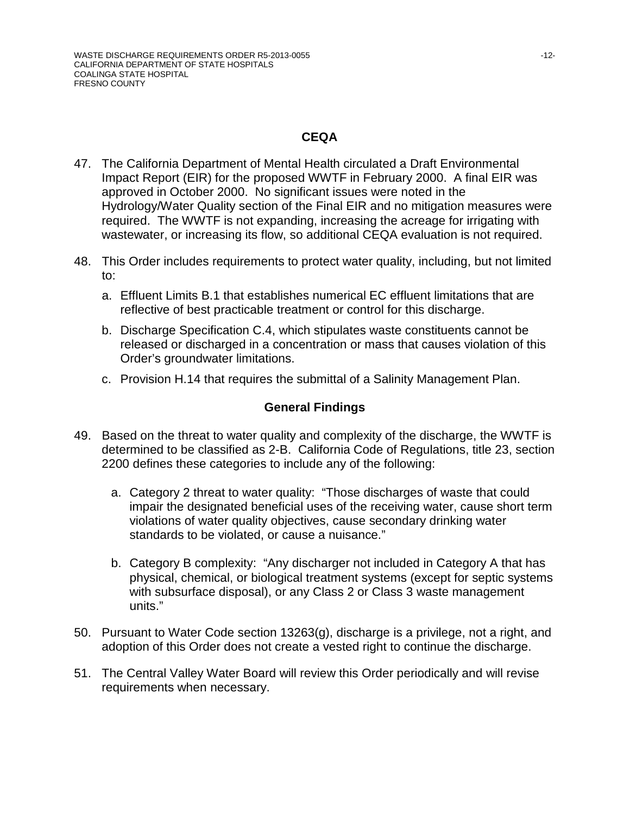## **CEQA**

- 47. The California Department of Mental Health circulated a Draft Environmental Impact Report (EIR) for the proposed WWTF in February 2000. A final EIR was approved in October 2000. No significant issues were noted in the Hydrology/Water Quality section of the Final EIR and no mitigation measures were required. The WWTF is not expanding, increasing the acreage for irrigating with wastewater, or increasing its flow, so additional CEQA evaluation is not required.
- 48. This Order includes requirements to protect water quality, including, but not limited to:
	- a. Effluent Limits B.1 that establishes numerical EC effluent limitations that are reflective of best practicable treatment or control for this discharge.
	- b. Discharge Specification C.4, which stipulates waste constituents cannot be released or discharged in a concentration or mass that causes violation of this Order's groundwater limitations.
	- c. Provision H.14 that requires the submittal of a Salinity Management Plan.

## **General Findings**

- 49. Based on the threat to water quality and complexity of the discharge, the WWTF is determined to be classified as 2-B. California Code of Regulations, title 23, section 2200 defines these categories to include any of the following:
	- a. Category 2 threat to water quality: "Those discharges of waste that could impair the designated beneficial uses of the receiving water, cause short term violations of water quality objectives, cause secondary drinking water standards to be violated, or cause a nuisance."
	- b. Category B complexity: "Any discharger not included in Category A that has physical, chemical, or biological treatment systems (except for septic systems with subsurface disposal), or any Class 2 or Class 3 waste management units."
- 50. Pursuant to Water Code section 13263(g), discharge is a privilege, not a right, and adoption of this Order does not create a vested right to continue the discharge.
- 51. The Central Valley Water Board will review this Order periodically and will revise requirements when necessary.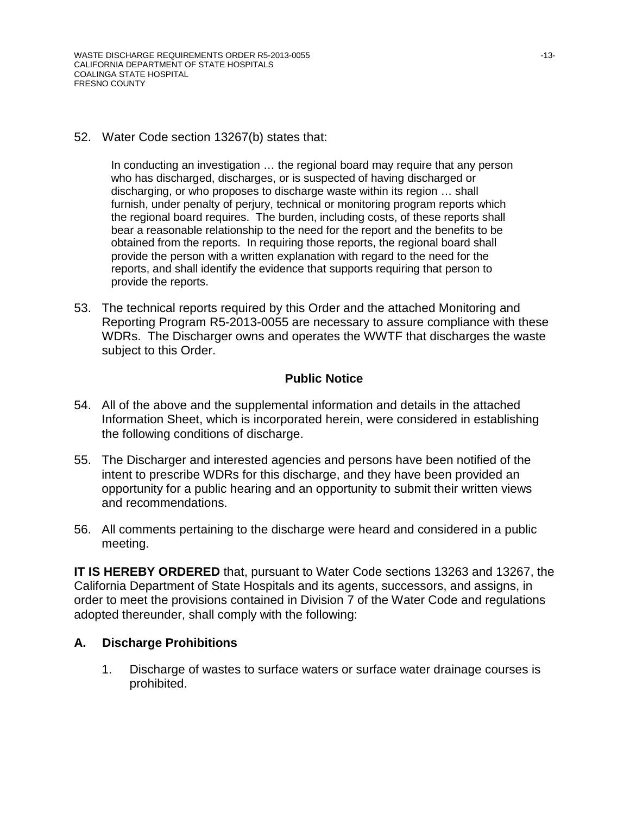### 52. Water Code section 13267(b) states that:

In conducting an investigation … the regional board may require that any person who has discharged, discharges, or is suspected of having discharged or discharging, or who proposes to discharge waste within its region … shall furnish, under penalty of perjury, technical or monitoring program reports which the regional board requires. The burden, including costs, of these reports shall bear a reasonable relationship to the need for the report and the benefits to be obtained from the reports. In requiring those reports, the regional board shall provide the person with a written explanation with regard to the need for the reports, and shall identify the evidence that supports requiring that person to provide the reports.

53. The technical reports required by this Order and the attached Monitoring and Reporting Program R5-2013-0055 are necessary to assure compliance with these WDRs. The Discharger owns and operates the WWTF that discharges the waste subject to this Order.

### **Public Notice**

- 54. All of the above and the supplemental information and details in the attached Information Sheet, which is incorporated herein, were considered in establishing the following conditions of discharge.
- 55. The Discharger and interested agencies and persons have been notified of the intent to prescribe WDRs for this discharge, and they have been provided an opportunity for a public hearing and an opportunity to submit their written views and recommendations.
- 56. All comments pertaining to the discharge were heard and considered in a public meeting.

**IT IS HEREBY ORDERED** that, pursuant to Water Code sections 13263 and 13267, the California Department of State Hospitals and its agents, successors, and assigns, in order to meet the provisions contained in Division 7 of the Water Code and regulations adopted thereunder, shall comply with the following:

### **A. Discharge Prohibitions**

1. Discharge of wastes to surface waters or surface water drainage courses is prohibited.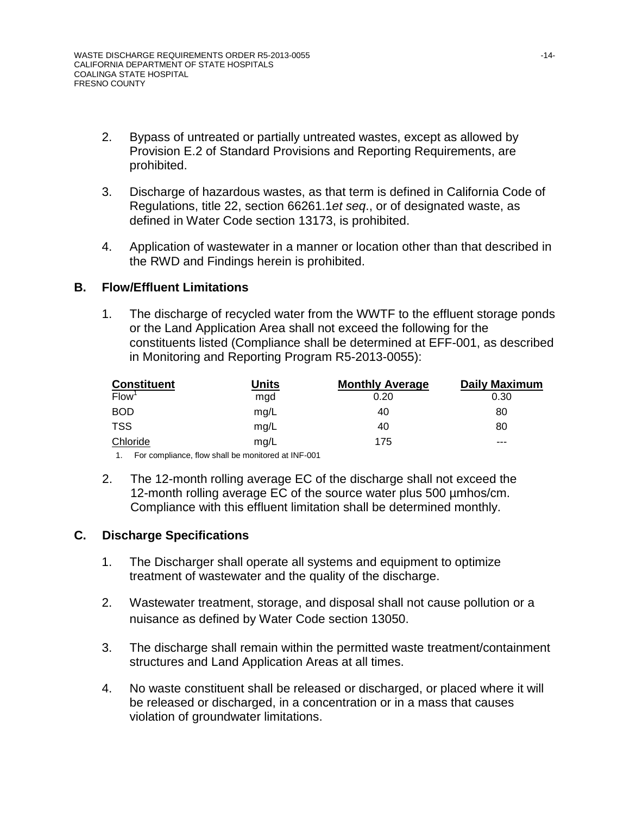- 2. Bypass of untreated or partially untreated wastes, except as allowed by Provision E.2 of Standard Provisions and Reporting Requirements, are prohibited.
- 3. Discharge of hazardous wastes, as that term is defined in California Code of Regulations, title 22, section 66261.1*et seq*., or of designated waste, as defined in Water Code section 13173, is prohibited.
- 4. Application of wastewater in a manner or location other than that described in the RWD and Findings herein is prohibited.

### **B. Flow/Effluent Limitations**

1. The discharge of recycled water from the WWTF to the effluent storage ponds or the Land Application Area shall not exceed the following for the constituents listed (Compliance shall be determined at EFF-001, as described in Monitoring and Reporting Program R5-2013-0055):

| Constituent<br>Flow <sup>1</sup> | <u>Units</u> | <b>Monthly Average</b> | <b>Daily Maximum</b> |
|----------------------------------|--------------|------------------------|----------------------|
|                                  | mgd          | 0.20                   | 0.30                 |
| <b>BOD</b>                       | mg/L         | 40                     | 80                   |
| <b>TSS</b>                       | mg/L         | 40                     | 80                   |
| Chloride                         | mg/L         | 175                    | ---                  |

1. For compliance, flow shall be monitored at INF-001

2. The 12-month rolling average EC of the discharge shall not exceed the 12-month rolling average EC of the source water plus 500 umhos/cm. Compliance with this effluent limitation shall be determined monthly.

### **C. Discharge Specifications**

- 1. The Discharger shall operate all systems and equipment to optimize treatment of wastewater and the quality of the discharge.
- 2. Wastewater treatment, storage, and disposal shall not cause pollution or a nuisance as defined by Water Code section 13050.
- 3. The discharge shall remain within the permitted waste treatment/containment structures and Land Application Areas at all times.
- 4. No waste constituent shall be released or discharged, or placed where it will be released or discharged, in a concentration or in a mass that causes violation of groundwater limitations.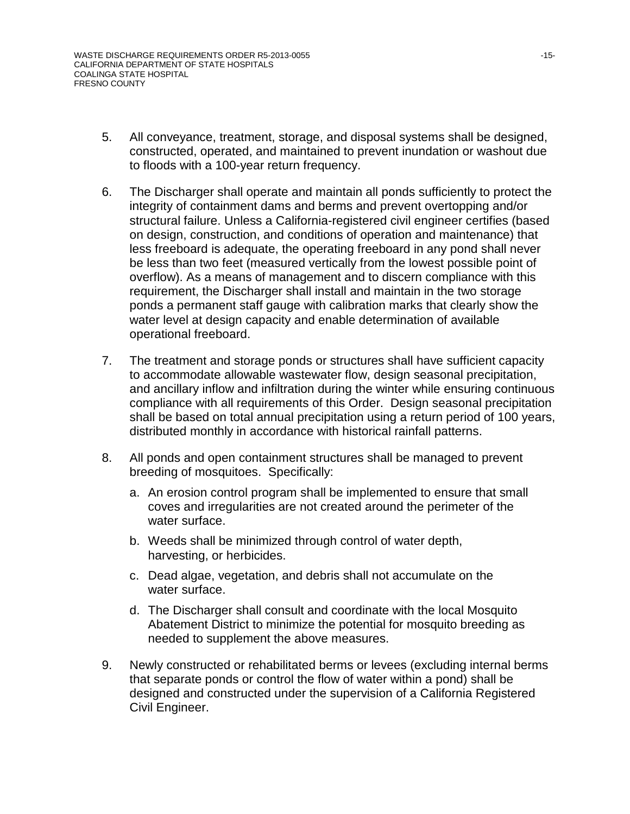- 5. All conveyance, treatment, storage, and disposal systems shall be designed, constructed, operated, and maintained to prevent inundation or washout due to floods with a 100-year return frequency.
- 6. The Discharger shall operate and maintain all ponds sufficiently to protect the integrity of containment dams and berms and prevent overtopping and/or structural failure. Unless a California-registered civil engineer certifies (based on design, construction, and conditions of operation and maintenance) that less freeboard is adequate, the operating freeboard in any pond shall never be less than two feet (measured vertically from the lowest possible point of overflow). As a means of management and to discern compliance with this requirement, the Discharger shall install and maintain in the two storage ponds a permanent staff gauge with calibration marks that clearly show the water level at design capacity and enable determination of available operational freeboard.
- 7. The treatment and storage ponds or structures shall have sufficient capacity to accommodate allowable wastewater flow, design seasonal precipitation, and ancillary inflow and infiltration during the winter while ensuring continuous compliance with all requirements of this Order. Design seasonal precipitation shall be based on total annual precipitation using a return period of 100 years, distributed monthly in accordance with historical rainfall patterns.
- 8. All ponds and open containment structures shall be managed to prevent breeding of mosquitoes. Specifically:
	- a. An erosion control program shall be implemented to ensure that small coves and irregularities are not created around the perimeter of the water surface.
	- b. Weeds shall be minimized through control of water depth, harvesting, or herbicides.
	- c. Dead algae, vegetation, and debris shall not accumulate on the water surface.
	- d. The Discharger shall consult and coordinate with the local Mosquito Abatement District to minimize the potential for mosquito breeding as needed to supplement the above measures.
- 9. Newly constructed or rehabilitated berms or levees (excluding internal berms that separate ponds or control the flow of water within a pond) shall be designed and constructed under the supervision of a California Registered Civil Engineer.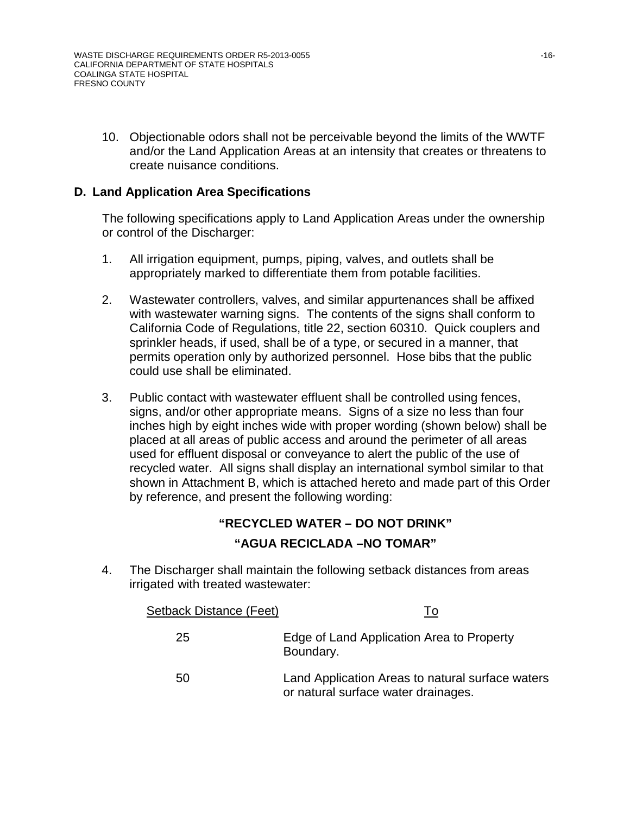10. Objectionable odors shall not be perceivable beyond the limits of the WWTF and/or the Land Application Areas at an intensity that creates or threatens to create nuisance conditions.

## **D. Land Application Area Specifications**

The following specifications apply to Land Application Areas under the ownership or control of the Discharger:

- 1. All irrigation equipment, pumps, piping, valves, and outlets shall be appropriately marked to differentiate them from potable facilities.
- 2. Wastewater controllers, valves, and similar appurtenances shall be affixed with wastewater warning signs. The contents of the signs shall conform to California Code of Regulations, title 22, section 60310. Quick couplers and sprinkler heads, if used, shall be of a type, or secured in a manner, that permits operation only by authorized personnel. Hose bibs that the public could use shall be eliminated.
- 3. Public contact with wastewater effluent shall be controlled using fences, signs, and/or other appropriate means. Signs of a size no less than four inches high by eight inches wide with proper wording (shown below) shall be placed at all areas of public access and around the perimeter of all areas used for effluent disposal or conveyance to alert the public of the use of recycled water. All signs shall display an international symbol similar to that shown in Attachment B, which is attached hereto and made part of this Order by reference, and present the following wording:

### **"RECYCLED WATER – DO NOT DRINK"**

### **"AGUA RECICLADA –NO TOMAR"**

4. The Discharger shall maintain the following setback distances from areas irrigated with treated wastewater:

| Setback Distance (Feet) | Т٥                                                                                      |
|-------------------------|-----------------------------------------------------------------------------------------|
| 25                      | Edge of Land Application Area to Property<br>Boundary.                                  |
| 50                      | Land Application Areas to natural surface waters<br>or natural surface water drainages. |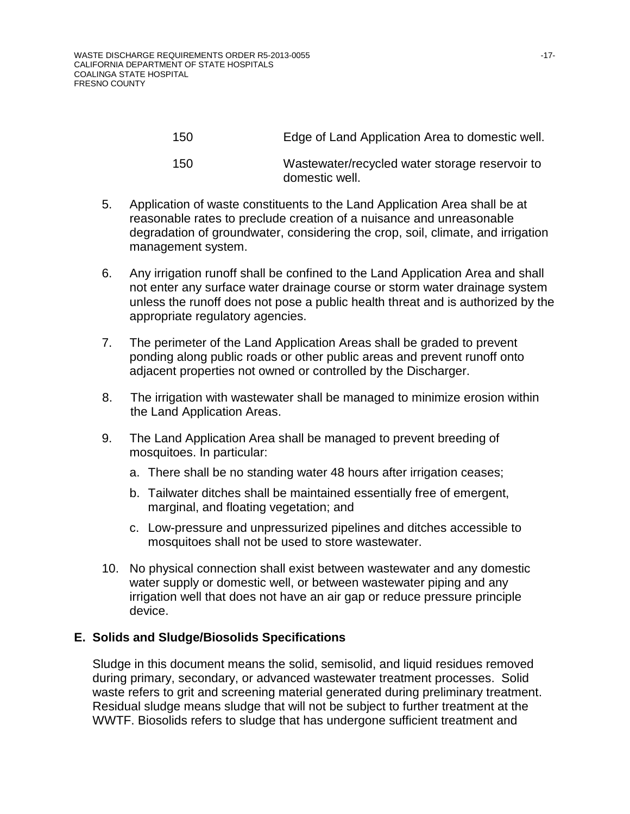| 150 | Edge of Land Application Area to domestic well.                  |
|-----|------------------------------------------------------------------|
| 150 | Wastewater/recycled water storage reservoir to<br>domestic well. |

- 5. Application of waste constituents to the Land Application Area shall be at reasonable rates to preclude creation of a nuisance and unreasonable degradation of groundwater, considering the crop, soil, climate, and irrigation management system.
- 6. Any irrigation runoff shall be confined to the Land Application Area and shall not enter any surface water drainage course or storm water drainage system unless the runoff does not pose a public health threat and is authorized by the appropriate regulatory agencies.
- 7. The perimeter of the Land Application Areas shall be graded to prevent ponding along public roads or other public areas and prevent runoff onto adjacent properties not owned or controlled by the Discharger.
- 8. The irrigation with wastewater shall be managed to minimize erosion within the Land Application Areas.
- 9. The Land Application Area shall be managed to prevent breeding of mosquitoes. In particular:
	- a. There shall be no standing water 48 hours after irrigation ceases;
	- b. Tailwater ditches shall be maintained essentially free of emergent, marginal, and floating vegetation; and
	- c. Low-pressure and unpressurized pipelines and ditches accessible to mosquitoes shall not be used to store wastewater.
- 10. No physical connection shall exist between wastewater and any domestic water supply or domestic well, or between wastewater piping and any irrigation well that does not have an air gap or reduce pressure principle device.

### **E. Solids and Sludge/Biosolids Specifications**

Sludge in this document means the solid, semisolid, and liquid residues removed during primary, secondary, or advanced wastewater treatment processes. Solid waste refers to grit and screening material generated during preliminary treatment. Residual sludge means sludge that will not be subject to further treatment at the WWTF. Biosolids refers to sludge that has undergone sufficient treatment and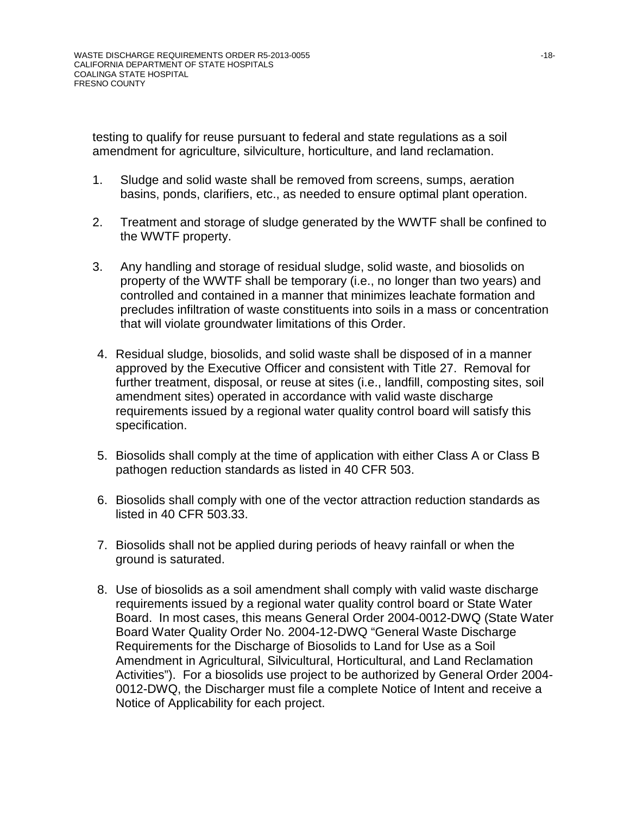testing to qualify for reuse pursuant to federal and state regulations as a soil amendment for agriculture, silviculture, horticulture, and land reclamation.

- 1. Sludge and solid waste shall be removed from screens, sumps, aeration basins, ponds, clarifiers, etc., as needed to ensure optimal plant operation.
- 2. Treatment and storage of sludge generated by the WWTF shall be confined to the WWTF property.
- 3. Any handling and storage of residual sludge, solid waste, and biosolids on property of the WWTF shall be temporary (i.e., no longer than two years) and controlled and contained in a manner that minimizes leachate formation and precludes infiltration of waste constituents into soils in a mass or concentration that will violate groundwater limitations of this Order.
- 4. Residual sludge, biosolids, and solid waste shall be disposed of in a manner approved by the Executive Officer and consistent with Title 27. Removal for further treatment, disposal, or reuse at sites (i.e., landfill, composting sites, soil amendment sites) operated in accordance with valid waste discharge requirements issued by a regional water quality control board will satisfy this specification.
- 5. Biosolids shall comply at the time of application with either Class A or Class B pathogen reduction standards as listed in 40 CFR 503.
- 6. Biosolids shall comply with one of the vector attraction reduction standards as listed in 40 CFR 503.33.
- 7. Biosolids shall not be applied during periods of heavy rainfall or when the ground is saturated.
- 8. Use of biosolids as a soil amendment shall comply with valid waste discharge requirements issued by a regional water quality control board or State Water Board. In most cases, this means General Order 2004-0012-DWQ (State Water Board Water Quality Order No. 2004-12-DWQ "General Waste Discharge Requirements for the Discharge of Biosolids to Land for Use as a Soil Amendment in Agricultural, Silvicultural, Horticultural, and Land Reclamation Activities"). For a biosolids use project to be authorized by General Order 2004- 0012-DWQ, the Discharger must file a complete Notice of Intent and receive a Notice of Applicability for each project.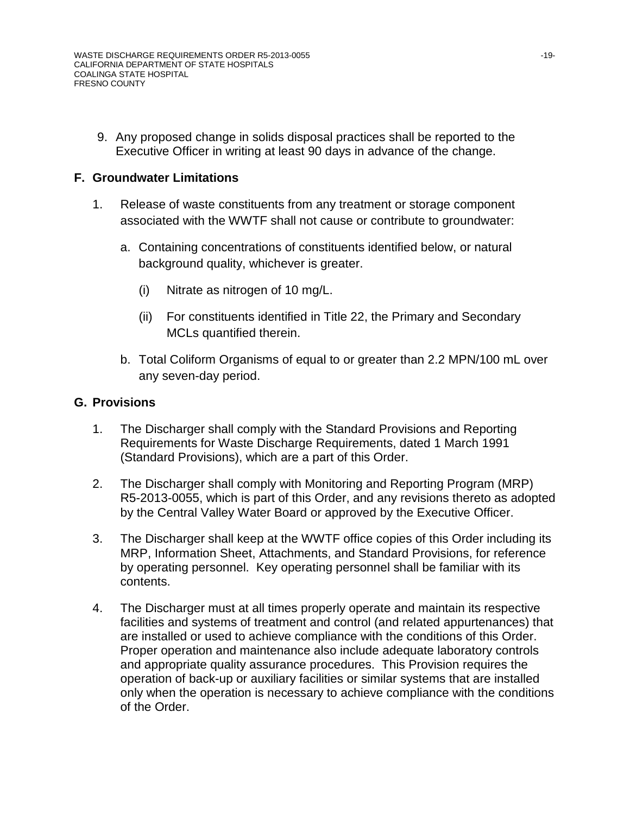9. Any proposed change in solids disposal practices shall be reported to the Executive Officer in writing at least 90 days in advance of the change.

### **F. Groundwater Limitations**

- 1. Release of waste constituents from any treatment or storage component associated with the WWTF shall not cause or contribute to groundwater:
	- a. Containing concentrations of constituents identified below, or natural background quality, whichever is greater.
		- (i) Nitrate as nitrogen of 10 mg/L.
		- (ii) For constituents identified in Title 22, the Primary and Secondary MCLs quantified therein.
	- b. Total Coliform Organisms of equal to or greater than 2.2 MPN/100 mL over any seven-day period.

## **G. Provisions**

- 1. The Discharger shall comply with the Standard Provisions and Reporting Requirements for Waste Discharge Requirements, dated 1 March 1991 (Standard Provisions), which are a part of this Order.
- 2. The Discharger shall comply with Monitoring and Reporting Program (MRP) R5-2013-0055, which is part of this Order, and any revisions thereto as adopted by the Central Valley Water Board or approved by the Executive Officer.
- 3. The Discharger shall keep at the WWTF office copies of this Order including its MRP, Information Sheet, Attachments, and Standard Provisions, for reference by operating personnel. Key operating personnel shall be familiar with its contents.
- 4. The Discharger must at all times properly operate and maintain its respective facilities and systems of treatment and control (and related appurtenances) that are installed or used to achieve compliance with the conditions of this Order. Proper operation and maintenance also include adequate laboratory controls and appropriate quality assurance procedures. This Provision requires the operation of back-up or auxiliary facilities or similar systems that are installed only when the operation is necessary to achieve compliance with the conditions of the Order.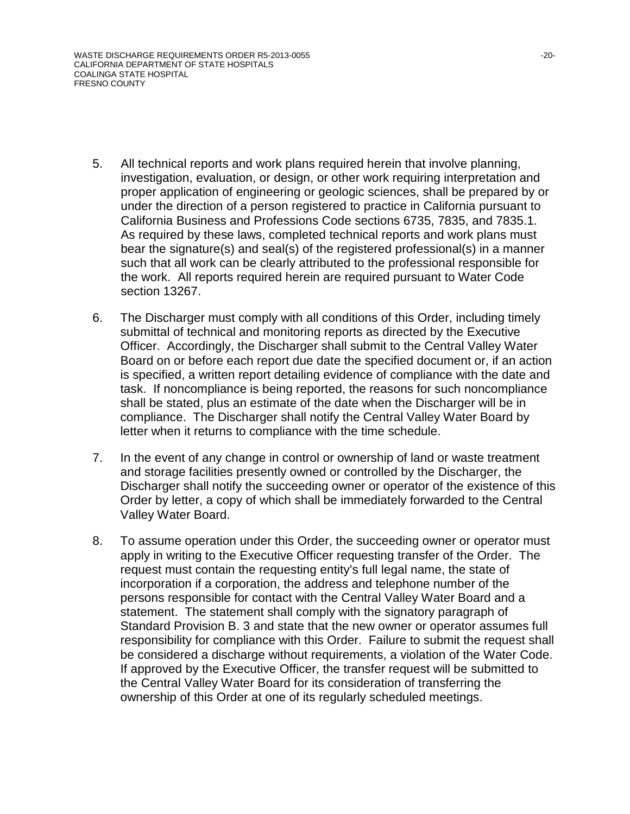- 5. All technical reports and work plans required herein that involve planning, investigation, evaluation, or design, or other work requiring interpretation and proper application of engineering or geologic sciences, shall be prepared by or under the direction of a person registered to practice in California pursuant to California Business and Professions Code sections 6735, 7835, and 7835.1. As required by these laws, completed technical reports and work plans must bear the signature(s) and seal(s) of the registered professional(s) in a manner such that all work can be clearly attributed to the professional responsible for the work. All reports required herein are required pursuant to Water Code section 13267.
- 6. The Discharger must comply with all conditions of this Order, including timely submittal of technical and monitoring reports as directed by the Executive Officer. Accordingly, the Discharger shall submit to the Central Valley Water Board on or before each report due date the specified document or, if an action is specified, a written report detailing evidence of compliance with the date and task. If noncompliance is being reported, the reasons for such noncompliance shall be stated, plus an estimate of the date when the Discharger will be in compliance. The Discharger shall notify the Central Valley Water Board by letter when it returns to compliance with the time schedule.
- 7. In the event of any change in control or ownership of land or waste treatment and storage facilities presently owned or controlled by the Discharger, the Discharger shall notify the succeeding owner or operator of the existence of this Order by letter, a copy of which shall be immediately forwarded to the Central Valley Water Board.
- 8. To assume operation under this Order, the succeeding owner or operator must apply in writing to the Executive Officer requesting transfer of the Order. The request must contain the requesting entity's full legal name, the state of incorporation if a corporation, the address and telephone number of the persons responsible for contact with the Central Valley Water Board and a statement. The statement shall comply with the signatory paragraph of Standard Provision B. 3 and state that the new owner or operator assumes full responsibility for compliance with this Order. Failure to submit the request shall be considered a discharge without requirements, a violation of the Water Code. If approved by the Executive Officer, the transfer request will be submitted to the Central Valley Water Board for its consideration of transferring the ownership of this Order at one of its regularly scheduled meetings.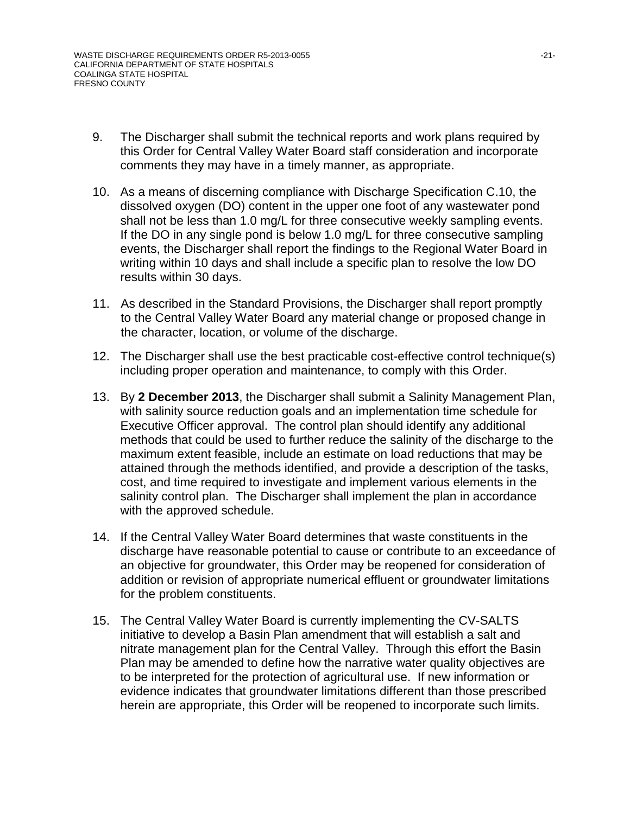- 9. The Discharger shall submit the technical reports and work plans required by this Order for Central Valley Water Board staff consideration and incorporate comments they may have in a timely manner, as appropriate.
- 10. As a means of discerning compliance with Discharge Specification C.10, the dissolved oxygen (DO) content in the upper one foot of any wastewater pond shall not be less than 1.0 mg/L for three consecutive weekly sampling events. If the DO in any single pond is below 1.0 mg/L for three consecutive sampling events, the Discharger shall report the findings to the Regional Water Board in writing within 10 days and shall include a specific plan to resolve the low DO results within 30 days.
- 11. As described in the Standard Provisions, the Discharger shall report promptly to the Central Valley Water Board any material change or proposed change in the character, location, or volume of the discharge.
- 12. The Discharger shall use the best practicable cost-effective control technique(s) including proper operation and maintenance, to comply with this Order.
- 13. By **2 December 2013**, the Discharger shall submit a Salinity Management Plan, with salinity source reduction goals and an implementation time schedule for Executive Officer approval. The control plan should identify any additional methods that could be used to further reduce the salinity of the discharge to the maximum extent feasible, include an estimate on load reductions that may be attained through the methods identified, and provide a description of the tasks, cost, and time required to investigate and implement various elements in the salinity control plan. The Discharger shall implement the plan in accordance with the approved schedule.
- 14. If the Central Valley Water Board determines that waste constituents in the discharge have reasonable potential to cause or contribute to an exceedance of an objective for groundwater, this Order may be reopened for consideration of addition or revision of appropriate numerical effluent or groundwater limitations for the problem constituents.
- 15. The Central Valley Water Board is currently implementing the CV-SALTS initiative to develop a Basin Plan amendment that will establish a salt and nitrate management plan for the Central Valley. Through this effort the Basin Plan may be amended to define how the narrative water quality objectives are to be interpreted for the protection of agricultural use. If new information or evidence indicates that groundwater limitations different than those prescribed herein are appropriate, this Order will be reopened to incorporate such limits.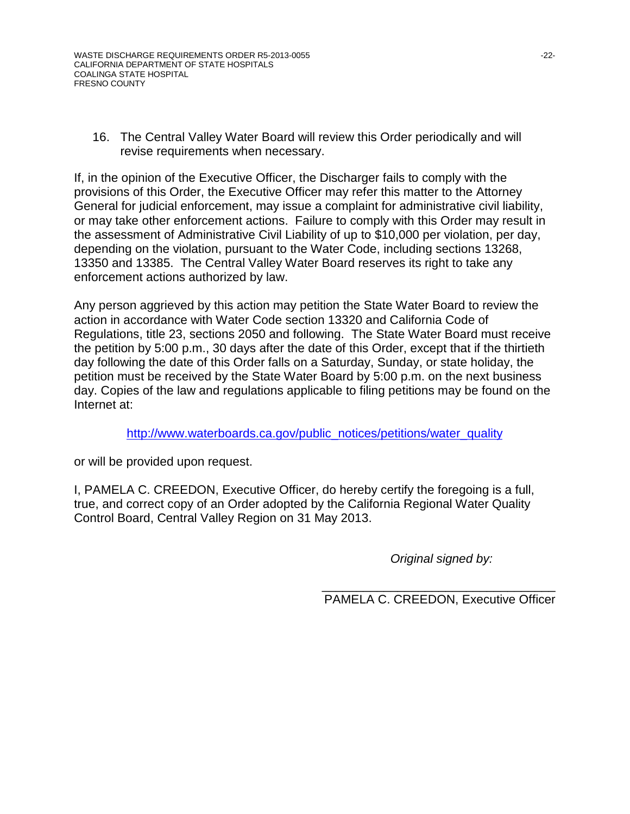16. The Central Valley Water Board will review this Order periodically and will revise requirements when necessary.

If, in the opinion of the Executive Officer, the Discharger fails to comply with the provisions of this Order, the Executive Officer may refer this matter to the Attorney General for judicial enforcement, may issue a complaint for administrative civil liability, or may take other enforcement actions. Failure to comply with this Order may result in the assessment of Administrative Civil Liability of up to \$10,000 per violation, per day, depending on the violation, pursuant to the Water Code, including sections 13268, 13350 and 13385. The Central Valley Water Board reserves its right to take any enforcement actions authorized by law.

Any person aggrieved by this action may petition the State Water Board to review the action in accordance with Water Code section 13320 and California Code of Regulations, title 23, sections 2050 and following. The State Water Board must receive the petition by 5:00 p.m., 30 days after the date of this Order, except that if the thirtieth day following the date of this Order falls on a Saturday, Sunday, or state holiday, the petition must be received by the State Water Board by 5:00 p.m. on the next business day. Copies of the law and regulations applicable to filing petitions may be found on the Internet at:

[http://www.waterboards.ca.gov/public\\_notices/petitions/water\\_quality](http://www.waterboards.ca.gov/public_notices/petitions/water_quality)

or will be provided upon request.

I, PAMELA C. CREEDON, Executive Officer, do hereby certify the foregoing is a full, true, and correct copy of an Order adopted by the California Regional Water Quality Control Board, Central Valley Region on 31 May 2013.

*Original signed by:*

\_\_\_\_\_\_\_\_\_\_\_\_\_\_\_\_\_\_\_\_\_\_\_\_\_\_\_\_\_\_\_\_\_\_ PAMELA C. CREEDON, Executive Officer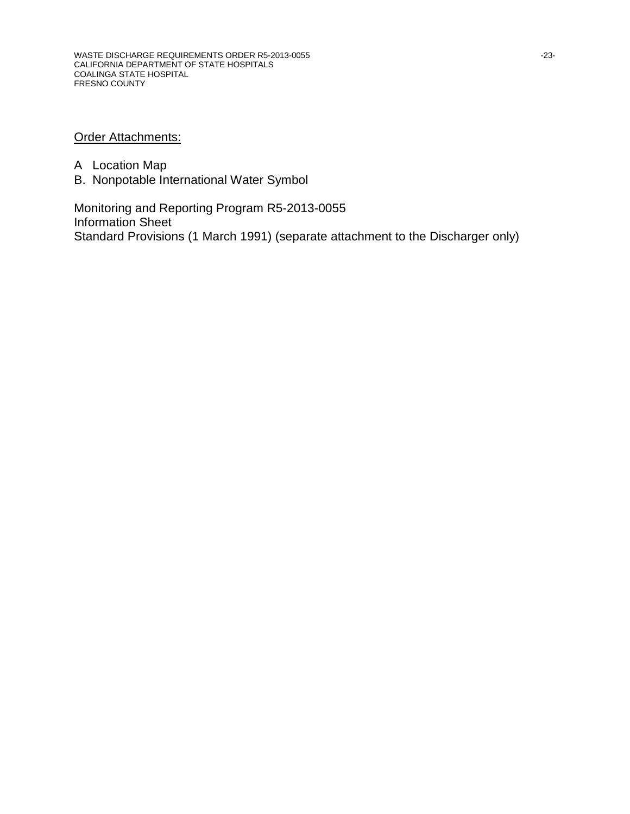## **Order Attachments:**

- A Location Map
- B. Nonpotable International Water Symbol

Monitoring and Reporting Program R5-2013-0055 Information Sheet Standard Provisions (1 March 1991) (separate attachment to the Discharger only)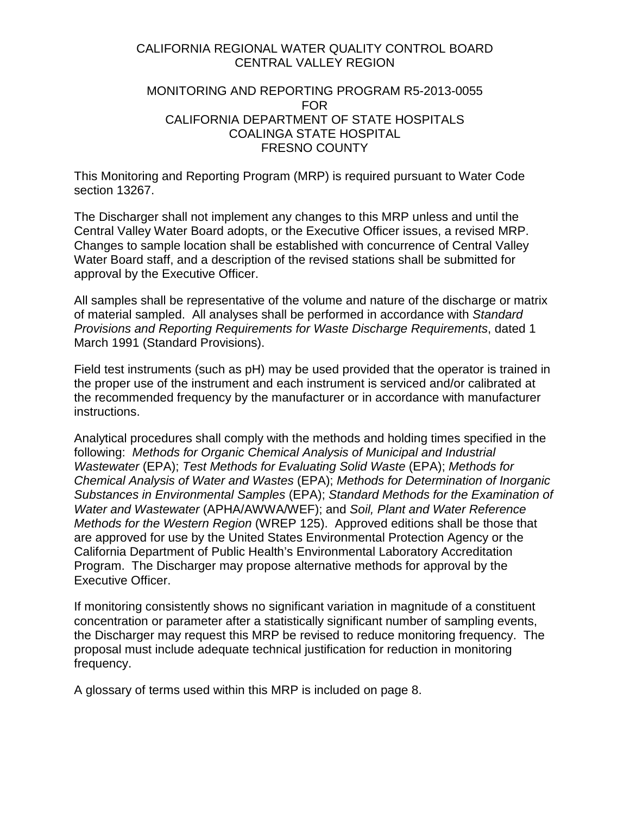### CALIFORNIA REGIONAL WATER QUALITY CONTROL BOARD CENTRAL VALLEY REGION

### MONITORING AND REPORTING PROGRAM R5-2013-0055 FOR CALIFORNIA DEPARTMENT OF STATE HOSPITALS COALINGA STATE HOSPITAL FRESNO COUNTY

This Monitoring and Reporting Program (MRP) is required pursuant to Water Code section 13267.

The Discharger shall not implement any changes to this MRP unless and until the Central Valley Water Board adopts, or the Executive Officer issues, a revised MRP. Changes to sample location shall be established with concurrence of Central Valley Water Board staff, and a description of the revised stations shall be submitted for approval by the Executive Officer.

All samples shall be representative of the volume and nature of the discharge or matrix of material sampled. All analyses shall be performed in accordance with *Standard Provisions and Reporting Requirements for Waste Discharge Requirements*, dated 1 March 1991 (Standard Provisions).

Field test instruments (such as pH) may be used provided that the operator is trained in the proper use of the instrument and each instrument is serviced and/or calibrated at the recommended frequency by the manufacturer or in accordance with manufacturer instructions.

Analytical procedures shall comply with the methods and holding times specified in the following: *Methods for Organic Chemical Analysis of Municipal and Industrial Wastewater* (EPA); *Test Methods for Evaluating Solid Waste* (EPA); *Methods for Chemical Analysis of Water and Wastes* (EPA); *Methods for Determination of Inorganic Substances in Environmental Samples* (EPA); *Standard Methods for the Examination of Water and Wastewater* (APHA/AWWA/WEF); and *Soil, Plant and Water Reference Methods for the Western Region* (WREP 125). Approved editions shall be those that are approved for use by the United States Environmental Protection Agency or the California Department of Public Health's Environmental Laboratory Accreditation Program. The Discharger may propose alternative methods for approval by the Executive Officer.

If monitoring consistently shows no significant variation in magnitude of a constituent concentration or parameter after a statistically significant number of sampling events, the Discharger may request this MRP be revised to reduce monitoring frequency. The proposal must include adequate technical justification for reduction in monitoring frequency.

A glossary of terms used within this MRP is included on page 8.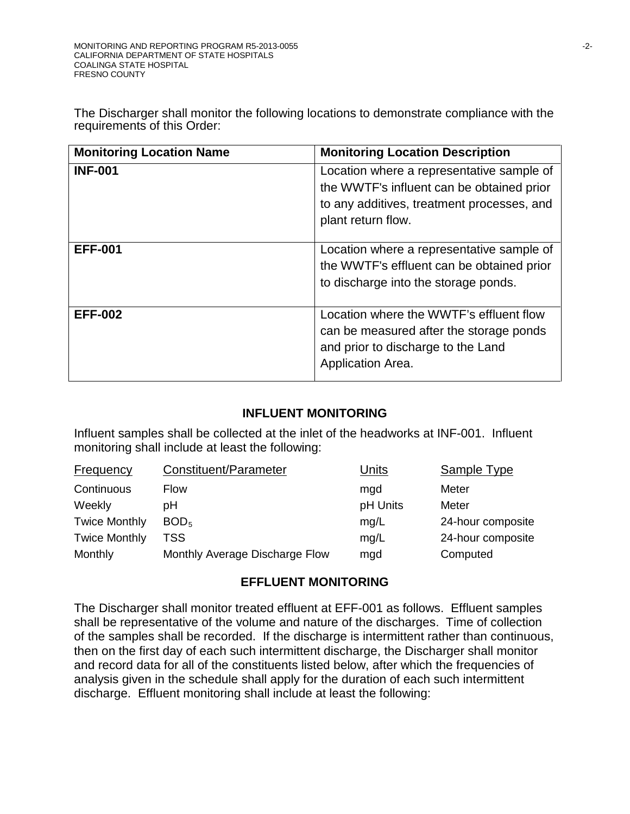The Discharger shall monitor the following locations to demonstrate compliance with the requirements of this Order:

| <b>Monitoring Location Name</b> | <b>Monitoring Location Description</b>                                                                                                                     |
|---------------------------------|------------------------------------------------------------------------------------------------------------------------------------------------------------|
| <b>INF-001</b>                  | Location where a representative sample of<br>the WWTF's influent can be obtained prior<br>to any additives, treatment processes, and<br>plant return flow. |
| <b>EFF-001</b>                  | Location where a representative sample of<br>the WWTF's effluent can be obtained prior<br>to discharge into the storage ponds.                             |
| <b>EFF-002</b>                  | Location where the WWTF's effluent flow<br>can be measured after the storage ponds<br>and prior to discharge to the Land<br>Application Area.              |

## **INFLUENT MONITORING**

Influent samples shall be collected at the inlet of the headworks at INF-001. Influent monitoring shall include at least the following:

| Frequency            | Constituent/Parameter          | Units    | Sample Type       |
|----------------------|--------------------------------|----------|-------------------|
| Continuous           | Flow                           | mgd      | Meter             |
| Weekly               | pН                             | pH Units | Meter             |
| <b>Twice Monthly</b> | BOD <sub>5</sub>               | mg/L     | 24-hour composite |
| <b>Twice Monthly</b> | TSS                            | mg/L     | 24-hour composite |
| Monthly              | Monthly Average Discharge Flow | mgd      | Computed          |

## **EFFLUENT MONITORING**

The Discharger shall monitor treated effluent at EFF-001 as follows. Effluent samples shall be representative of the volume and nature of the discharges. Time of collection of the samples shall be recorded. If the discharge is intermittent rather than continuous, then on the first day of each such intermittent discharge, the Discharger shall monitor and record data for all of the constituents listed below, after which the frequencies of analysis given in the schedule shall apply for the duration of each such intermittent discharge. Effluent monitoring shall include at least the following: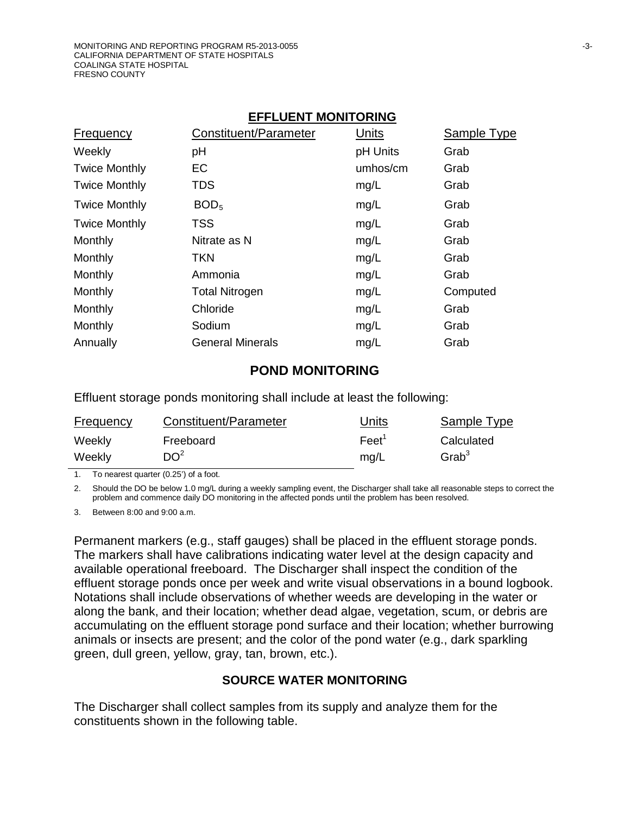#### **EFFLUENT MONITORING**

| <b>Frequency</b>     | Constituent/Parameter   | Units    | Sample Type |
|----------------------|-------------------------|----------|-------------|
| Weekly               | рH                      | pH Units | Grab        |
| <b>Twice Monthly</b> | EC                      | umhos/cm | Grab        |
| <b>Twice Monthly</b> | TDS                     | mg/L     | Grab        |
| <b>Twice Monthly</b> | BOD <sub>5</sub>        | mg/L     | Grab        |
| <b>Twice Monthly</b> | <b>TSS</b>              | mg/L     | Grab        |
| Monthly              | Nitrate as N            | mg/L     | Grab        |
| Monthly              | <b>TKN</b>              | mg/L     | Grab        |
| Monthly              | Ammonia                 | mg/L     | Grab        |
| Monthly              | <b>Total Nitrogen</b>   | mg/L     | Computed    |
| Monthly              | Chloride                | mg/L     | Grab        |
| Monthly              | Sodium                  | mg/L     | Grab        |
| Annually             | <b>General Minerals</b> | mg/L     | Grab        |
|                      |                         |          |             |

#### **POND MONITORING**

Effluent storage ponds monitoring shall include at least the following:

| <b>Frequency</b> | Constituent/Parameter | <u>Units</u> | Sample Type |
|------------------|-----------------------|--------------|-------------|
| Weekly           | Freeboard             | Feet'        | Calculated  |
| Weekly           | DO <sup>2</sup>       | ma/L         | $G$ rab $3$ |

1. To nearest quarter (0.25') of a foot.

2. Should the DO be below 1.0 mg/L during a weekly sampling event, the Discharger shall take all reasonable steps to correct the problem and commence daily DO monitoring in the affected ponds until the problem has been resolved.

3. Between 8:00 and 9:00 a.m.

Permanent markers (e.g., staff gauges) shall be placed in the effluent storage ponds. The markers shall have calibrations indicating water level at the design capacity and available operational freeboard. The Discharger shall inspect the condition of the effluent storage ponds once per week and write visual observations in a bound logbook. Notations shall include observations of whether weeds are developing in the water or along the bank, and their location; whether dead algae, vegetation, scum, or debris are accumulating on the effluent storage pond surface and their location; whether burrowing animals or insects are present; and the color of the pond water (e.g., dark sparkling green, dull green, yellow, gray, tan, brown, etc.).

### **SOURCE WATER MONITORING**

The Discharger shall collect samples from its supply and analyze them for the constituents shown in the following table.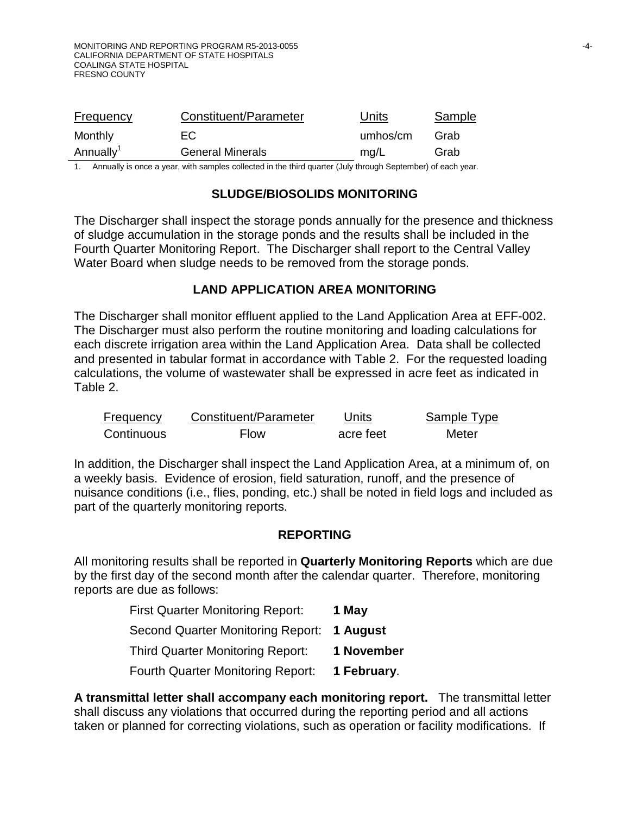| <b>Frequency</b>      | Constituent/Parameter   | Units    | <b>Sample</b> |
|-----------------------|-------------------------|----------|---------------|
| Monthly               | EC.                     | umhos/cm | Grab          |
| Annually <sup>1</sup> | <b>General Minerals</b> | mg/L     | Grab          |
|                       |                         |          |               |

1. Annually is once a year, with samples collected in the third quarter (July through September) of each year.

### **SLUDGE/BIOSOLIDS MONITORING**

The Discharger shall inspect the storage ponds annually for the presence and thickness of sludge accumulation in the storage ponds and the results shall be included in the Fourth Quarter Monitoring Report. The Discharger shall report to the Central Valley Water Board when sludge needs to be removed from the storage ponds.

### **LAND APPLICATION AREA MONITORING**

The Discharger shall monitor effluent applied to the Land Application Area at EFF-002. The Discharger must also perform the routine monitoring and loading calculations for each discrete irrigation area within the Land Application Area. Data shall be collected and presented in tabular format in accordance with Table 2. For the requested loading calculations, the volume of wastewater shall be expressed in acre feet as indicated in Table 2.

| <b>Frequency</b> | Constituent/Parameter | Units     | Sample Type |
|------------------|-----------------------|-----------|-------------|
| Continuous       | <b>Flow</b>           | acre feet | Meter       |

In addition, the Discharger shall inspect the Land Application Area, at a minimum of, on a weekly basis. Evidence of erosion, field saturation, runoff, and the presence of nuisance conditions (i.e., flies, ponding, etc.) shall be noted in field logs and included as part of the quarterly monitoring reports.

### **REPORTING**

All monitoring results shall be reported in **Quarterly Monitoring Reports** which are due by the first day of the second month after the calendar quarter. Therefore, monitoring reports are due as follows:

| <b>First Quarter Monitoring Report:</b>  | 1 May       |
|------------------------------------------|-------------|
| <b>Second Quarter Monitoring Report:</b> | 1 August    |
| <b>Third Quarter Monitoring Report:</b>  | 1 November  |
| Fourth Quarter Monitoring Report:        | 1 February. |

**A transmittal letter shall accompany each monitoring report.** The transmittal letter shall discuss any violations that occurred during the reporting period and all actions taken or planned for correcting violations, such as operation or facility modifications. If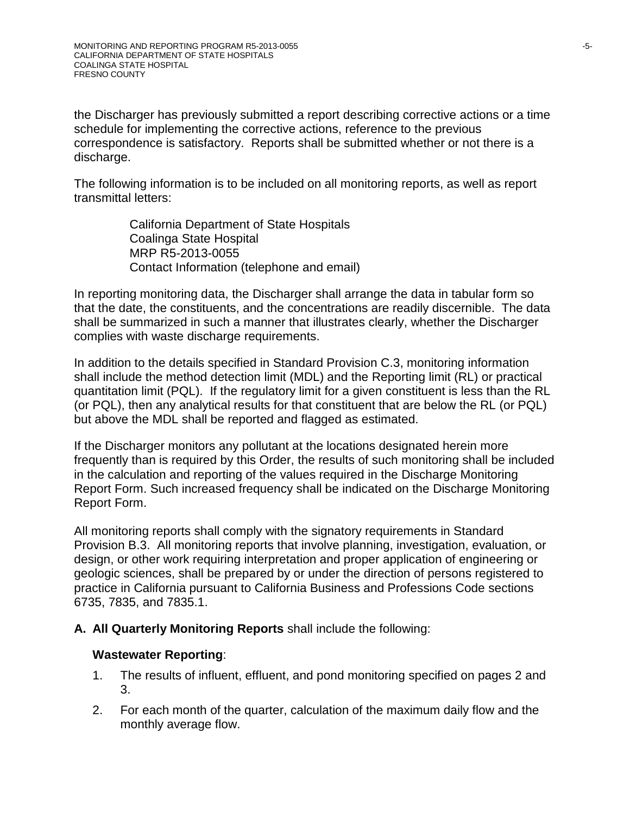the Discharger has previously submitted a report describing corrective actions or a time schedule for implementing the corrective actions, reference to the previous correspondence is satisfactory. Reports shall be submitted whether or not there is a discharge.

The following information is to be included on all monitoring reports, as well as report transmittal letters:

> California Department of State Hospitals Coalinga State Hospital MRP R5-2013-0055 Contact Information (telephone and email)

In reporting monitoring data, the Discharger shall arrange the data in tabular form so that the date, the constituents, and the concentrations are readily discernible. The data shall be summarized in such a manner that illustrates clearly, whether the Discharger complies with waste discharge requirements.

In addition to the details specified in Standard Provision C.3, monitoring information shall include the method detection limit (MDL) and the Reporting limit (RL) or practical quantitation limit (PQL). If the regulatory limit for a given constituent is less than the RL (or PQL), then any analytical results for that constituent that are below the RL (or PQL) but above the MDL shall be reported and flagged as estimated.

If the Discharger monitors any pollutant at the locations designated herein more frequently than is required by this Order, the results of such monitoring shall be included in the calculation and reporting of the values required in the Discharge Monitoring Report Form. Such increased frequency shall be indicated on the Discharge Monitoring Report Form.

All monitoring reports shall comply with the signatory requirements in Standard Provision B.3. All monitoring reports that involve planning, investigation, evaluation, or design, or other work requiring interpretation and proper application of engineering or geologic sciences, shall be prepared by or under the direction of persons registered to practice in California pursuant to California Business and Professions Code sections 6735, 7835, and 7835.1.

### **A. All Quarterly Monitoring Reports** shall include the following:

### **Wastewater Reporting**:

- 1. The results of influent, effluent, and pond monitoring specified on pages 2 and 3.
- 2. For each month of the quarter, calculation of the maximum daily flow and the monthly average flow.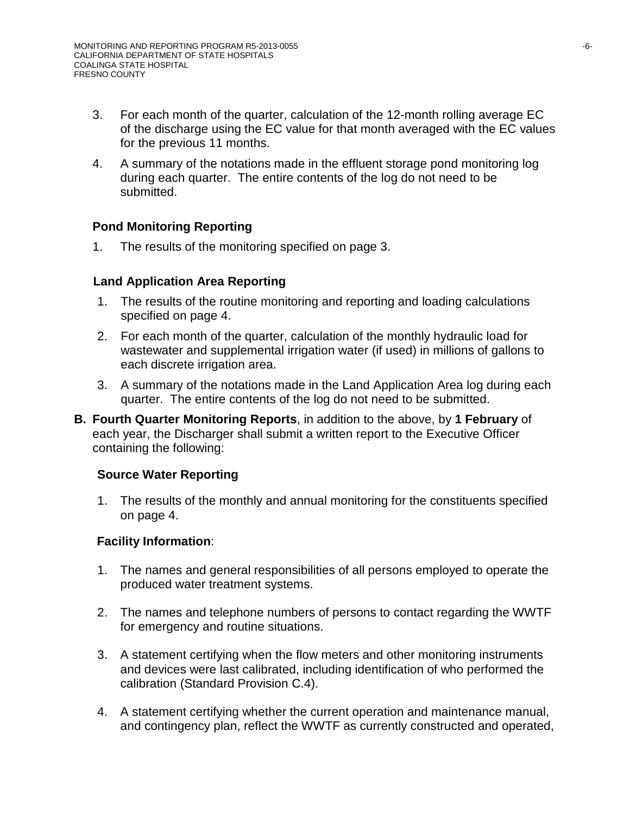- 3. For each month of the quarter, calculation of the 12-month rolling average EC of the discharge using the EC value for that month averaged with the EC values for the previous 11 months.
- 4. A summary of the notations made in the effluent storage pond monitoring log during each quarter. The entire contents of the log do not need to be submitted.

### **Pond Monitoring Reporting**

1. The results of the monitoring specified on page 3.

### **Land Application Area Reporting**

- 1. The results of the routine monitoring and reporting and loading calculations specified on page 4.
- 2. For each month of the quarter, calculation of the monthly hydraulic load for wastewater and supplemental irrigation water (if used) in millions of gallons to each discrete irrigation area.
- 3. A summary of the notations made in the Land Application Area log during each quarter. The entire contents of the log do not need to be submitted.
- **B. Fourth Quarter Monitoring Reports**, in addition to the above, by **1 February** of each year, the Discharger shall submit a written report to the Executive Officer containing the following:

### **Source Water Reporting**

1. The results of the monthly and annual monitoring for the constituents specified on page 4.

### **Facility Information**:

- 1. The names and general responsibilities of all persons employed to operate the produced water treatment systems.
- 2. The names and telephone numbers of persons to contact regarding the WWTF for emergency and routine situations.
- 3. A statement certifying when the flow meters and other monitoring instruments and devices were last calibrated, including identification of who performed the calibration (Standard Provision C.4).
- 4. A statement certifying whether the current operation and maintenance manual, and contingency plan, reflect the WWTF as currently constructed and operated,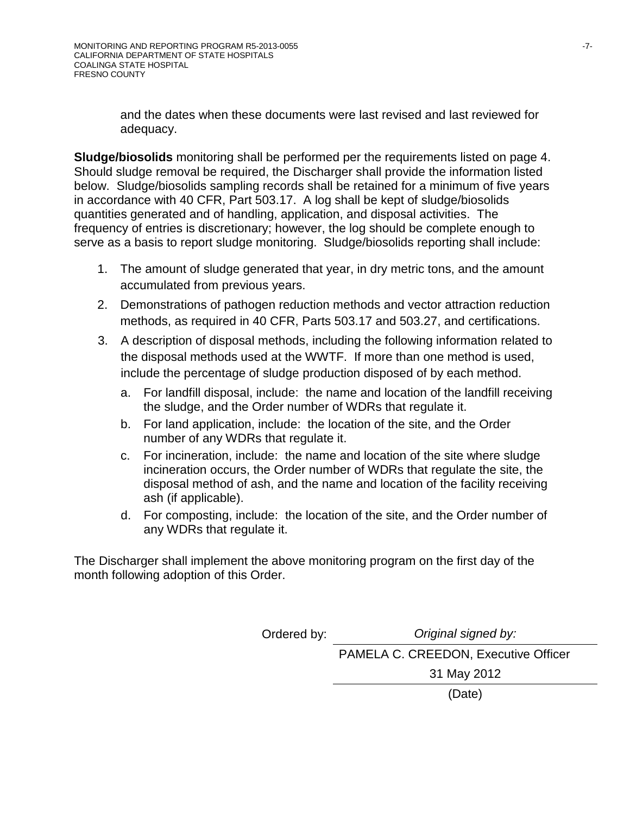and the dates when these documents were last revised and last reviewed for adequacy.

**Sludge/biosolids** monitoring shall be performed per the requirements listed on page 4. Should sludge removal be required, the Discharger shall provide the information listed below. Sludge/biosolids sampling records shall be retained for a minimum of five years in accordance with 40 CFR, Part 503.17. A log shall be kept of sludge/biosolids quantities generated and of handling, application, and disposal activities. The frequency of entries is discretionary; however, the log should be complete enough to serve as a basis to report sludge monitoring. Sludge/biosolids reporting shall include:

- 1. The amount of sludge generated that year, in dry metric tons, and the amount accumulated from previous years.
- 2. Demonstrations of pathogen reduction methods and vector attraction reduction methods, as required in 40 CFR, Parts 503.17 and 503.27, and certifications.
- 3. A description of disposal methods, including the following information related to the disposal methods used at the WWTF. If more than one method is used, include the percentage of sludge production disposed of by each method.
	- a. For landfill disposal, include: the name and location of the landfill receiving the sludge, and the Order number of WDRs that regulate it.
	- b. For land application, include: the location of the site, and the Order number of any WDRs that regulate it.
	- c. For incineration, include: the name and location of the site where sludge incineration occurs, the Order number of WDRs that regulate the site, the disposal method of ash, and the name and location of the facility receiving ash (if applicable).
	- d. For composting, include: the location of the site, and the Order number of any WDRs that regulate it.

The Discharger shall implement the above monitoring program on the first day of the month following adoption of this Order.

Ordered by: *Original signed by:*

PAMELA C. CREEDON, Executive Officer

31 May 2012

(Date)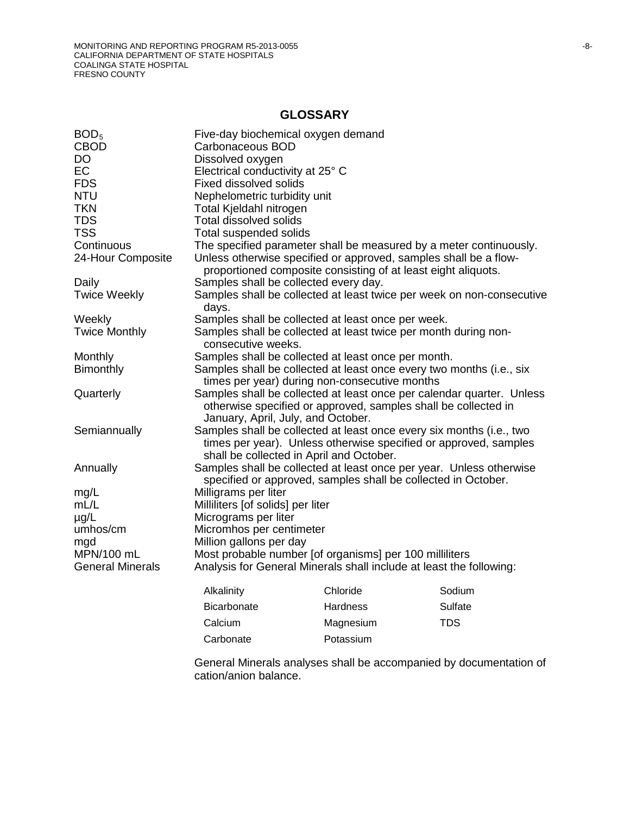## **GLOSSARY**

| BOD <sub>5</sub>        | Five-day biochemical oxygen demand                                                                                                      |                 |            |  |  |  |  |
|-------------------------|-----------------------------------------------------------------------------------------------------------------------------------------|-----------------|------------|--|--|--|--|
| <b>CBOD</b>             | Carbonaceous BOD                                                                                                                        |                 |            |  |  |  |  |
| <b>DO</b>               | Dissolved oxygen                                                                                                                        |                 |            |  |  |  |  |
| EC                      | Electrical conductivity at 25° C                                                                                                        |                 |            |  |  |  |  |
| <b>FDS</b>              | <b>Fixed dissolved solids</b>                                                                                                           |                 |            |  |  |  |  |
| <b>NTU</b>              | Nephelometric turbidity unit                                                                                                            |                 |            |  |  |  |  |
| <b>TKN</b>              | Total Kjeldahl nitrogen                                                                                                                 |                 |            |  |  |  |  |
| <b>TDS</b>              | <b>Total dissolved solids</b>                                                                                                           |                 |            |  |  |  |  |
| <b>TSS</b>              | Total suspended solids                                                                                                                  |                 |            |  |  |  |  |
| Continuous              | The specified parameter shall be measured by a meter continuously.                                                                      |                 |            |  |  |  |  |
| 24-Hour Composite       | Unless otherwise specified or approved, samples shall be a flow-<br>proportioned composite consisting of at least eight aliquots.       |                 |            |  |  |  |  |
| Daily                   | Samples shall be collected every day.                                                                                                   |                 |            |  |  |  |  |
| <b>Twice Weekly</b>     | Samples shall be collected at least twice per week on non-consecutive                                                                   |                 |            |  |  |  |  |
|                         | days.                                                                                                                                   |                 |            |  |  |  |  |
| Weekly                  | Samples shall be collected at least once per week.                                                                                      |                 |            |  |  |  |  |
| <b>Twice Monthly</b>    | Samples shall be collected at least twice per month during non-                                                                         |                 |            |  |  |  |  |
|                         | consecutive weeks.                                                                                                                      |                 |            |  |  |  |  |
| Monthly                 | Samples shall be collected at least once per month.                                                                                     |                 |            |  |  |  |  |
| <b>Bimonthly</b>        | Samples shall be collected at least once every two months (i.e., six                                                                    |                 |            |  |  |  |  |
|                         | times per year) during non-consecutive months                                                                                           |                 |            |  |  |  |  |
| Quarterly               | Samples shall be collected at least once per calendar quarter. Unless<br>otherwise specified or approved, samples shall be collected in |                 |            |  |  |  |  |
|                         | January, April, July, and October.                                                                                                      |                 |            |  |  |  |  |
| Semiannually            | Samples shall be collected at least once every six months (i.e., two                                                                    |                 |            |  |  |  |  |
|                         | times per year). Unless otherwise specified or approved, samples                                                                        |                 |            |  |  |  |  |
|                         | shall be collected in April and October.                                                                                                |                 |            |  |  |  |  |
| Annually                | Samples shall be collected at least once per year. Unless otherwise                                                                     |                 |            |  |  |  |  |
|                         | specified or approved, samples shall be collected in October.                                                                           |                 |            |  |  |  |  |
| mg/L                    | Milligrams per liter                                                                                                                    |                 |            |  |  |  |  |
| mL/L                    | Milliliters [of solids] per liter                                                                                                       |                 |            |  |  |  |  |
| $\mu$ g/L               | Micrograms per liter                                                                                                                    |                 |            |  |  |  |  |
| umhos/cm                | Micromhos per centimeter                                                                                                                |                 |            |  |  |  |  |
| mgd                     | Million gallons per day                                                                                                                 |                 |            |  |  |  |  |
| MPN/100 mL              | Most probable number [of organisms] per 100 milliliters                                                                                 |                 |            |  |  |  |  |
| <b>General Minerals</b> | Analysis for General Minerals shall include at least the following:                                                                     |                 |            |  |  |  |  |
|                         | Alkalinity                                                                                                                              | Chloride        | Sodium     |  |  |  |  |
|                         | Bicarbonate                                                                                                                             | <b>Hardness</b> | Sulfate    |  |  |  |  |
|                         | Calcium                                                                                                                                 | Magnesium       | <b>TDS</b> |  |  |  |  |
|                         | Carbonate                                                                                                                               | Potassium       |            |  |  |  |  |
|                         |                                                                                                                                         |                 |            |  |  |  |  |

General Minerals analyses shall be accompanied by documentation of cation/anion balance.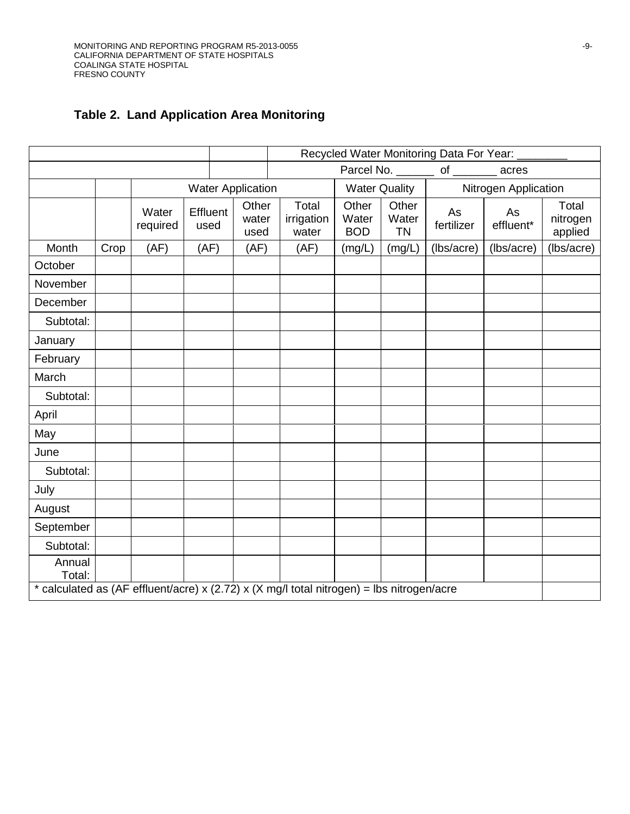# **Table 2. Land Application Area Monitoring**

|                                                                                           |      |                   |      |          |                          | Recycled Water Monitoring Data For Year: |                              |                                |                      |                 |                              |
|-------------------------------------------------------------------------------------------|------|-------------------|------|----------|--------------------------|------------------------------------------|------------------------------|--------------------------------|----------------------|-----------------|------------------------------|
|                                                                                           |      |                   |      |          |                          |                                          |                              | Parcel No. ________ of _______ |                      | acres           |                              |
|                                                                                           |      |                   |      |          | <b>Water Application</b> |                                          | <b>Water Quality</b>         |                                | Nitrogen Application |                 |                              |
|                                                                                           |      | Water<br>required | used | Effluent | Other<br>water<br>used   | Total<br>irrigation<br>water             | Other<br>Water<br><b>BOD</b> | Other<br>Water<br><b>TN</b>    | As<br>fertilizer     | As<br>effluent* | Total<br>nitrogen<br>applied |
| Month                                                                                     | Crop | (AF)              |      | (AF)     | (AF)                     | (AF)                                     | (mg/L)                       | (mg/L)                         | (lbs/acre)           | (lbs/acre)      | (lbs/acre)                   |
| October                                                                                   |      |                   |      |          |                          |                                          |                              |                                |                      |                 |                              |
| November                                                                                  |      |                   |      |          |                          |                                          |                              |                                |                      |                 |                              |
| December                                                                                  |      |                   |      |          |                          |                                          |                              |                                |                      |                 |                              |
| Subtotal:                                                                                 |      |                   |      |          |                          |                                          |                              |                                |                      |                 |                              |
| January                                                                                   |      |                   |      |          |                          |                                          |                              |                                |                      |                 |                              |
| February                                                                                  |      |                   |      |          |                          |                                          |                              |                                |                      |                 |                              |
| March                                                                                     |      |                   |      |          |                          |                                          |                              |                                |                      |                 |                              |
| Subtotal:                                                                                 |      |                   |      |          |                          |                                          |                              |                                |                      |                 |                              |
| April                                                                                     |      |                   |      |          |                          |                                          |                              |                                |                      |                 |                              |
| May                                                                                       |      |                   |      |          |                          |                                          |                              |                                |                      |                 |                              |
| June                                                                                      |      |                   |      |          |                          |                                          |                              |                                |                      |                 |                              |
| Subtotal:                                                                                 |      |                   |      |          |                          |                                          |                              |                                |                      |                 |                              |
| July                                                                                      |      |                   |      |          |                          |                                          |                              |                                |                      |                 |                              |
| August                                                                                    |      |                   |      |          |                          |                                          |                              |                                |                      |                 |                              |
| September                                                                                 |      |                   |      |          |                          |                                          |                              |                                |                      |                 |                              |
| Subtotal:                                                                                 |      |                   |      |          |                          |                                          |                              |                                |                      |                 |                              |
| Annual<br>Total:                                                                          |      |                   |      |          |                          |                                          |                              |                                |                      |                 |                              |
| * calculated as (AF effluent/acre) x (2.72) x (X mg/l total nitrogen) = lbs nitrogen/acre |      |                   |      |          |                          |                                          |                              |                                |                      |                 |                              |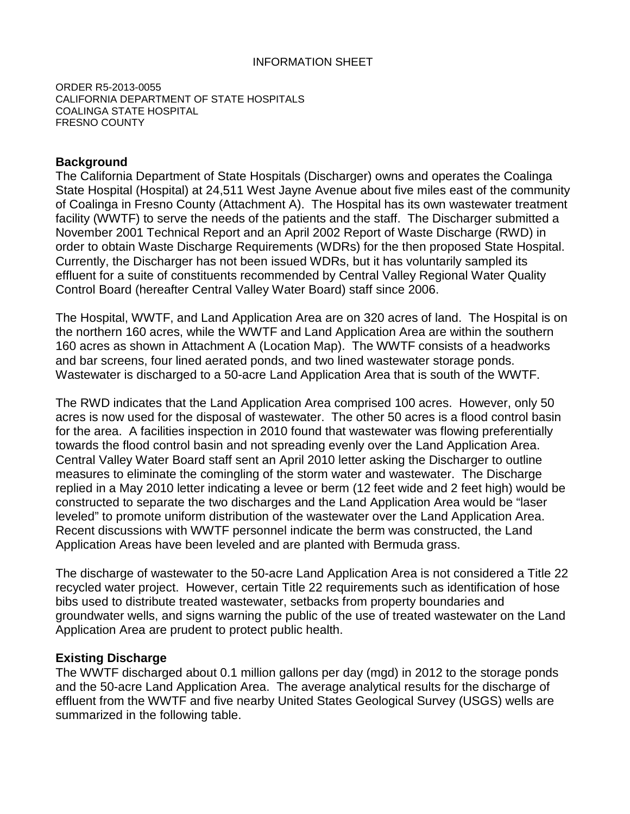ORDER R5-2013-0055 CALIFORNIA DEPARTMENT OF STATE HOSPITALS COALINGA STATE HOSPITAL FRESNO COUNTY

### **Background**

The California Department of State Hospitals (Discharger) owns and operates the Coalinga State Hospital (Hospital) at 24,511 West Jayne Avenue about five miles east of the community of Coalinga in Fresno County (Attachment A). The Hospital has its own wastewater treatment facility (WWTF) to serve the needs of the patients and the staff. The Discharger submitted a November 2001 Technical Report and an April 2002 Report of Waste Discharge (RWD) in order to obtain Waste Discharge Requirements (WDRs) for the then proposed State Hospital. Currently, the Discharger has not been issued WDRs, but it has voluntarily sampled its effluent for a suite of constituents recommended by Central Valley Regional Water Quality Control Board (hereafter Central Valley Water Board) staff since 2006.

The Hospital, WWTF, and Land Application Area are on 320 acres of land. The Hospital is on the northern 160 acres, while the WWTF and Land Application Area are within the southern 160 acres as shown in Attachment A (Location Map). The WWTF consists of a headworks and bar screens, four lined aerated ponds, and two lined wastewater storage ponds. Wastewater is discharged to a 50-acre Land Application Area that is south of the WWTF.

The RWD indicates that the Land Application Area comprised 100 acres. However, only 50 acres is now used for the disposal of wastewater. The other 50 acres is a flood control basin for the area. A facilities inspection in 2010 found that wastewater was flowing preferentially towards the flood control basin and not spreading evenly over the Land Application Area. Central Valley Water Board staff sent an April 2010 letter asking the Discharger to outline measures to eliminate the comingling of the storm water and wastewater. The Discharge replied in a May 2010 letter indicating a levee or berm (12 feet wide and 2 feet high) would be constructed to separate the two discharges and the Land Application Area would be "laser leveled" to promote uniform distribution of the wastewater over the Land Application Area. Recent discussions with WWTF personnel indicate the berm was constructed, the Land Application Areas have been leveled and are planted with Bermuda grass.

The discharge of wastewater to the 50-acre Land Application Area is not considered a Title 22 recycled water project. However, certain Title 22 requirements such as identification of hose bibs used to distribute treated wastewater, setbacks from property boundaries and groundwater wells, and signs warning the public of the use of treated wastewater on the Land Application Area are prudent to protect public health.

### **Existing Discharge**

The WWTF discharged about 0.1 million gallons per day (mgd) in 2012 to the storage ponds and the 50-acre Land Application Area. The average analytical results for the discharge of effluent from the WWTF and five nearby United States Geological Survey (USGS) wells are summarized in the following table.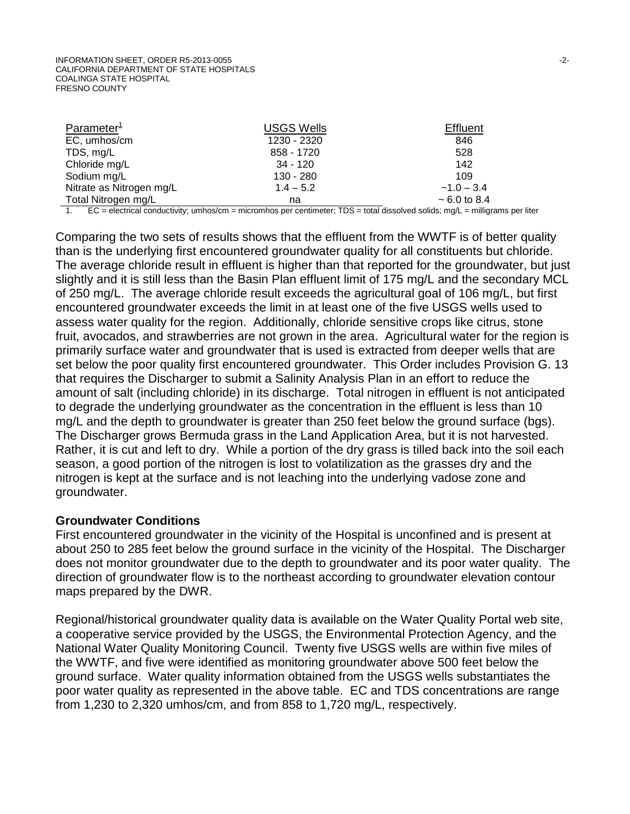| Parameter <sup>1</sup>   | <b>USGS Wells</b> | <b>Effluent</b>   |
|--------------------------|-------------------|-------------------|
| EC, umhos/cm             | 1230 - 2320       | 846               |
| TDS, mg/L                | 858 - 1720        | 528               |
| Chloride mg/L            | $34 - 120$        | 142               |
| Sodium mg/L              | 130 - 280         | 109               |
| Nitrate as Nitrogen mg/L | $1.4 - 5.2$       | $-1.0 - 3.4$      |
| Total Nitrogen mg/L      | na                | $\sim$ 6.0 to 8.4 |

1. EC = electrical conductivity; umhos/cm = micromhos per centimeter; TDS = total dissolved solids; mg/L = milligrams per liter

Comparing the two sets of results shows that the effluent from the WWTF is of better quality than is the underlying first encountered groundwater quality for all constituents but chloride. The average chloride result in effluent is higher than that reported for the groundwater, but just slightly and it is still less than the Basin Plan effluent limit of 175 mg/L and the secondary MCL of 250 mg/L. The average chloride result exceeds the agricultural goal of 106 mg/L, but first encountered groundwater exceeds the limit in at least one of the five USGS wells used to assess water quality for the region. Additionally, chloride sensitive crops like citrus, stone fruit, avocados, and strawberries are not grown in the area. Agricultural water for the region is primarily surface water and groundwater that is used is extracted from deeper wells that are set below the poor quality first encountered groundwater. This Order includes Provision G. 13 that requires the Discharger to submit a Salinity Analysis Plan in an effort to reduce the amount of salt (including chloride) in its discharge. Total nitrogen in effluent is not anticipated to degrade the underlying groundwater as the concentration in the effluent is less than 10 mg/L and the depth to groundwater is greater than 250 feet below the ground surface (bgs). The Discharger grows Bermuda grass in the Land Application Area, but it is not harvested. Rather, it is cut and left to dry. While a portion of the dry grass is tilled back into the soil each season, a good portion of the nitrogen is lost to volatilization as the grasses dry and the nitrogen is kept at the surface and is not leaching into the underlying vadose zone and groundwater.

#### **Groundwater Conditions**

First encountered groundwater in the vicinity of the Hospital is unconfined and is present at about 250 to 285 feet below the ground surface in the vicinity of the Hospital. The Discharger does not monitor groundwater due to the depth to groundwater and its poor water quality. The direction of groundwater flow is to the northeast according to groundwater elevation contour maps prepared by the DWR.

Regional/historical groundwater quality data is available on the Water Quality Portal web site, a cooperative service provided by the USGS, the Environmental Protection Agency, and the National Water Quality Monitoring Council. Twenty five USGS wells are within five miles of the WWTF, and five were identified as monitoring groundwater above 500 feet below the ground surface. Water quality information obtained from the USGS wells substantiates the poor water quality as represented in the above table. EC and TDS concentrations are range from 1,230 to 2,320 umhos/cm, and from 858 to 1,720 mg/L, respectively.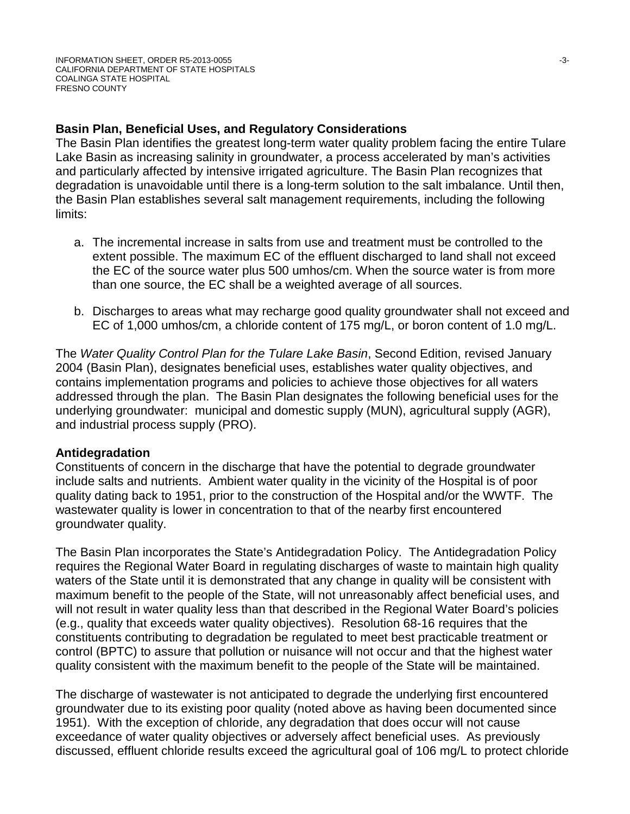### **Basin Plan, Beneficial Uses, and Regulatory Considerations**

The Basin Plan identifies the greatest long-term water quality problem facing the entire Tulare Lake Basin as increasing salinity in groundwater, a process accelerated by man's activities and particularly affected by intensive irrigated agriculture. The Basin Plan recognizes that degradation is unavoidable until there is a long-term solution to the salt imbalance. Until then, the Basin Plan establishes several salt management requirements, including the following limits:

- a. The incremental increase in salts from use and treatment must be controlled to the extent possible. The maximum EC of the effluent discharged to land shall not exceed the EC of the source water plus 500 umhos/cm. When the source water is from more than one source, the EC shall be a weighted average of all sources.
- b. Discharges to areas what may recharge good quality groundwater shall not exceed and EC of 1,000 umhos/cm, a chloride content of 175 mg/L, or boron content of 1.0 mg/L.

The *Water Quality Control Plan for the Tulare Lake Basin*, Second Edition, revised January 2004 (Basin Plan), designates beneficial uses, establishes water quality objectives, and contains implementation programs and policies to achieve those objectives for all waters addressed through the plan. The Basin Plan designates the following beneficial uses for the underlying groundwater: municipal and domestic supply (MUN), agricultural supply (AGR), and industrial process supply (PRO).

### **Antidegradation**

Constituents of concern in the discharge that have the potential to degrade groundwater include salts and nutrients. Ambient water quality in the vicinity of the Hospital is of poor quality dating back to 1951, prior to the construction of the Hospital and/or the WWTF. The wastewater quality is lower in concentration to that of the nearby first encountered groundwater quality.

The Basin Plan incorporates the State's Antidegradation Policy. The Antidegradation Policy requires the Regional Water Board in regulating discharges of waste to maintain high quality waters of the State until it is demonstrated that any change in quality will be consistent with maximum benefit to the people of the State, will not unreasonably affect beneficial uses, and will not result in water quality less than that described in the Regional Water Board's policies (e.g., quality that exceeds water quality objectives). Resolution 68-16 requires that the constituents contributing to degradation be regulated to meet best practicable treatment or control (BPTC) to assure that pollution or nuisance will not occur and that the highest water quality consistent with the maximum benefit to the people of the State will be maintained.

The discharge of wastewater is not anticipated to degrade the underlying first encountered groundwater due to its existing poor quality (noted above as having been documented since 1951). With the exception of chloride, any degradation that does occur will not cause exceedance of water quality objectives or adversely affect beneficial uses. As previously discussed, effluent chloride results exceed the agricultural goal of 106 mg/L to protect chloride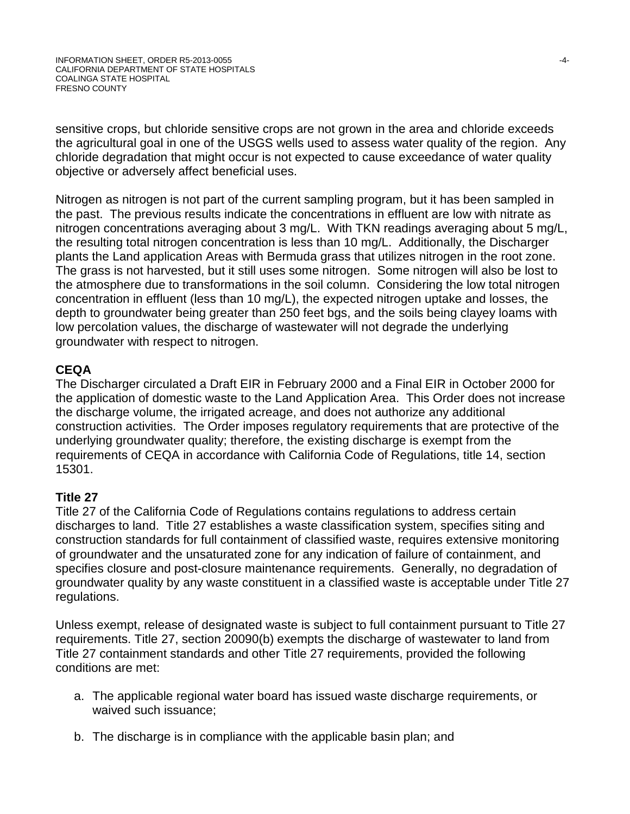sensitive crops, but chloride sensitive crops are not grown in the area and chloride exceeds the agricultural goal in one of the USGS wells used to assess water quality of the region. Any chloride degradation that might occur is not expected to cause exceedance of water quality objective or adversely affect beneficial uses.

Nitrogen as nitrogen is not part of the current sampling program, but it has been sampled in the past. The previous results indicate the concentrations in effluent are low with nitrate as nitrogen concentrations averaging about 3 mg/L. With TKN readings averaging about 5 mg/L, the resulting total nitrogen concentration is less than 10 mg/L. Additionally, the Discharger plants the Land application Areas with Bermuda grass that utilizes nitrogen in the root zone. The grass is not harvested, but it still uses some nitrogen. Some nitrogen will also be lost to the atmosphere due to transformations in the soil column. Considering the low total nitrogen concentration in effluent (less than 10 mg/L), the expected nitrogen uptake and losses, the depth to groundwater being greater than 250 feet bgs, and the soils being clayey loams with low percolation values, the discharge of wastewater will not degrade the underlying groundwater with respect to nitrogen.

### **CEQA**

The Discharger circulated a Draft EIR in February 2000 and a Final EIR in October 2000 for the application of domestic waste to the Land Application Area. This Order does not increase the discharge volume, the irrigated acreage, and does not authorize any additional construction activities. The Order imposes regulatory requirements that are protective of the underlying groundwater quality; therefore, the existing discharge is exempt from the requirements of CEQA in accordance with California Code of Regulations, title 14, section 15301.

### **Title 27**

Title 27 of the California Code of Regulations contains regulations to address certain discharges to land. Title 27 establishes a waste classification system, specifies siting and construction standards for full containment of classified waste, requires extensive monitoring of groundwater and the unsaturated zone for any indication of failure of containment, and specifies closure and post-closure maintenance requirements. Generally, no degradation of groundwater quality by any waste constituent in a classified waste is acceptable under Title 27 regulations.

Unless exempt, release of designated waste is subject to full containment pursuant to Title 27 requirements. Title 27, section 20090(b) exempts the discharge of wastewater to land from Title 27 containment standards and other Title 27 requirements, provided the following conditions are met:

- a. The applicable regional water board has issued waste discharge requirements, or waived such issuance;
- b. The discharge is in compliance with the applicable basin plan; and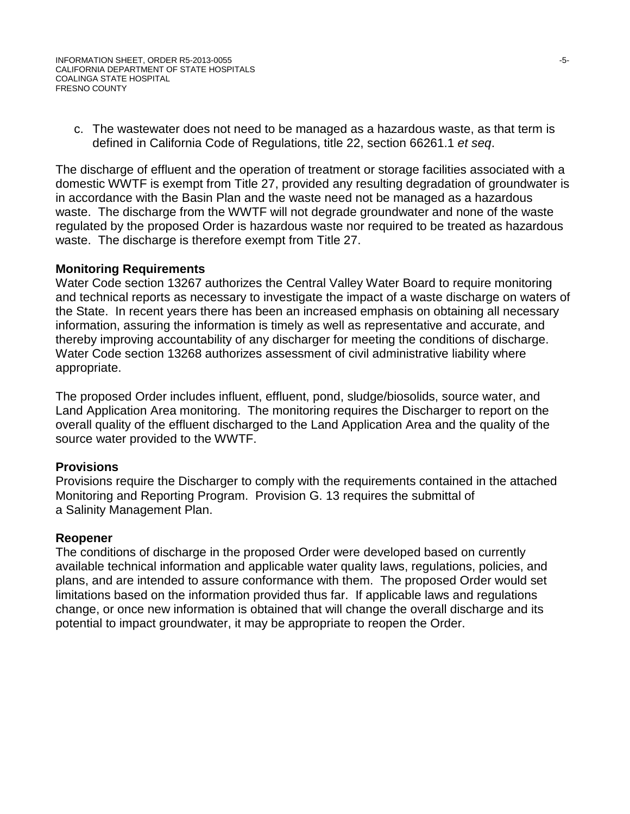c. The wastewater does not need to be managed as a hazardous waste, as that term is defined in California Code of Regulations, title 22, section 66261.1 *et seq*.

The discharge of effluent and the operation of treatment or storage facilities associated with a domestic WWTF is exempt from Title 27, provided any resulting degradation of groundwater is in accordance with the Basin Plan and the waste need not be managed as a hazardous waste. The discharge from the WWTF will not degrade groundwater and none of the waste regulated by the proposed Order is hazardous waste nor required to be treated as hazardous waste. The discharge is therefore exempt from Title 27.

### **Monitoring Requirements**

Water Code section 13267 authorizes the Central Valley Water Board to require monitoring and technical reports as necessary to investigate the impact of a waste discharge on waters of the State. In recent years there has been an increased emphasis on obtaining all necessary information, assuring the information is timely as well as representative and accurate, and thereby improving accountability of any discharger for meeting the conditions of discharge. Water Code section 13268 authorizes assessment of civil administrative liability where appropriate.

The proposed Order includes influent, effluent, pond, sludge/biosolids, source water, and Land Application Area monitoring. The monitoring requires the Discharger to report on the overall quality of the effluent discharged to the Land Application Area and the quality of the source water provided to the WWTF.

### **Provisions**

Provisions require the Discharger to comply with the requirements contained in the attached Monitoring and Reporting Program. Provision G. 13 requires the submittal of a Salinity Management Plan.

### **Reopener**

The conditions of discharge in the proposed Order were developed based on currently available technical information and applicable water quality laws, regulations, policies, and plans, and are intended to assure conformance with them. The proposed Order would set limitations based on the information provided thus far. If applicable laws and regulations change, or once new information is obtained that will change the overall discharge and its potential to impact groundwater, it may be appropriate to reopen the Order.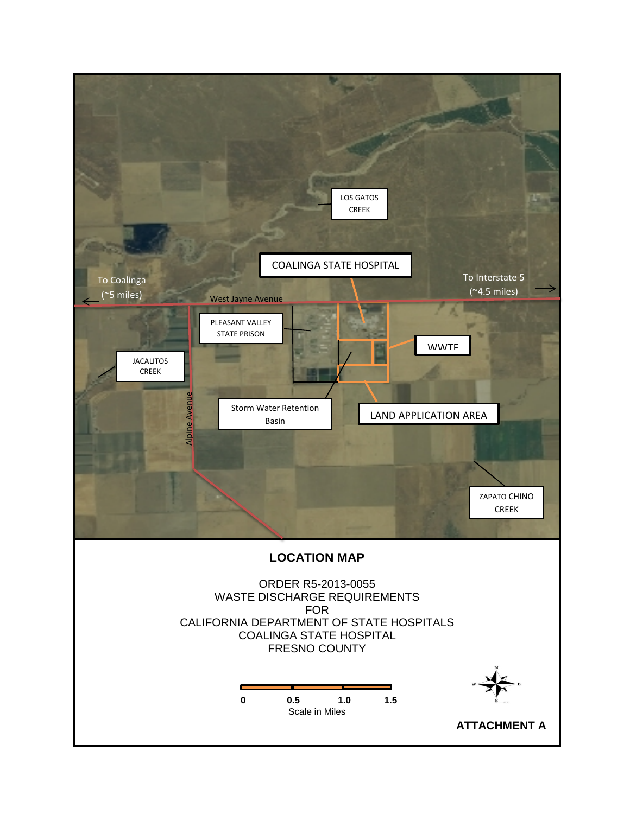